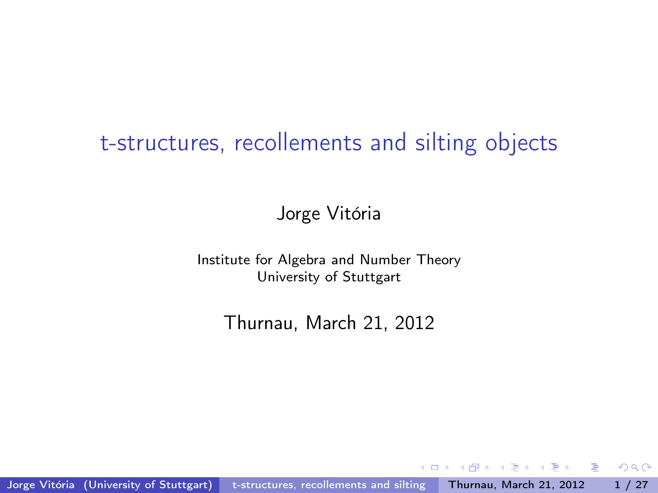# <span id="page-0-0"></span>t-structures, recollements and silting objects

Jorge Vitória

Institute for Algebra and Number Theory University of Stuttgart

Thurnau, March 21, 2012

Jorge Vitória (University of Stuttgart) t-structures, recollements and silting Thurnau, March 21, 2012 1 / 27

 $\sim$  m

**State State**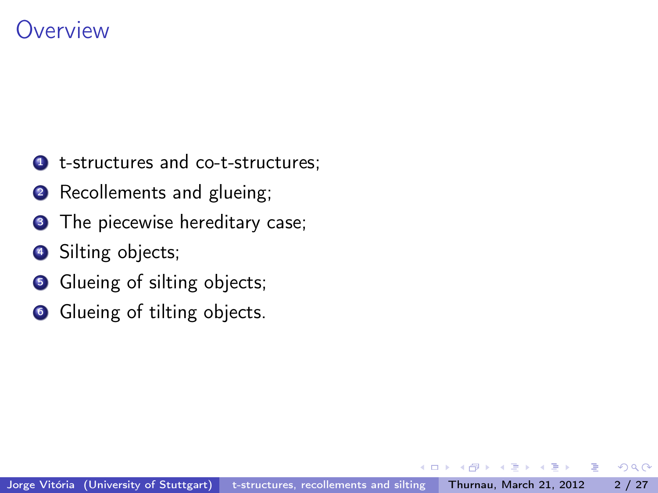# **Overview**

- **1** t-structures and co-t-structures;
- **2** Recollements and glueing;
- **3** The piecewise hereditary case;
- **4** Silting objects;
- **6** Glueing of silting objects;
- **6** Glueing of tilting objects.

 $QQ$ 

э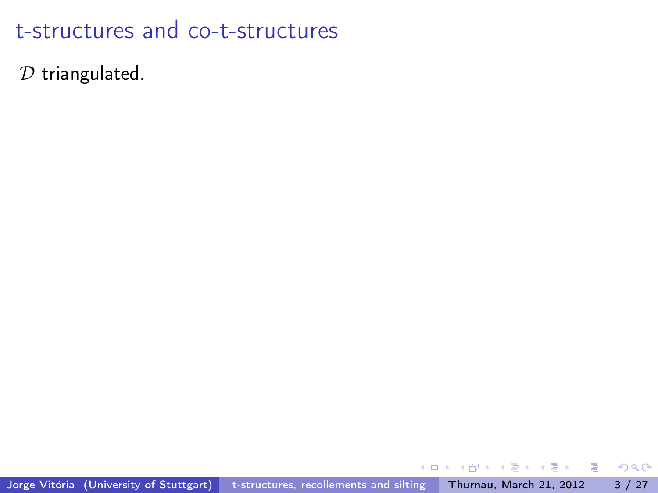$D$  triangulated.

重

 $\mathbf{h}$  $\mathcal{A}$  . 重 . p

⋍

∢⊡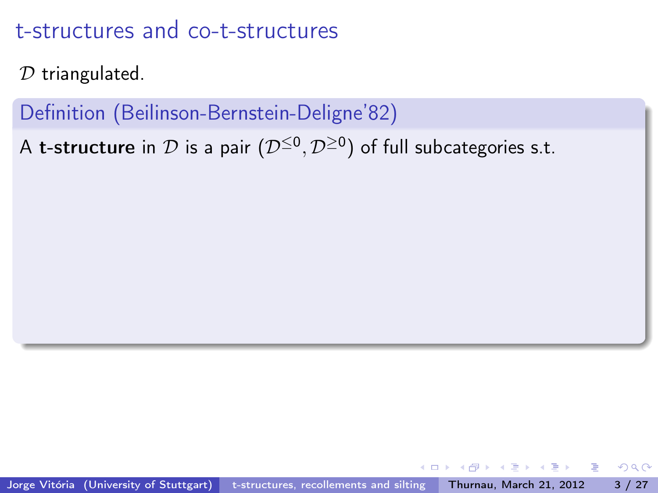$D$  triangulated.

Definition (Beilinson-Bernstein-Deligne'82)

A **t-structure** in  $\mathcal D$  is a pair  $(\mathcal D^{\leq 0},\mathcal D^{\geq 0})$  of full subcategories s.t.

- 3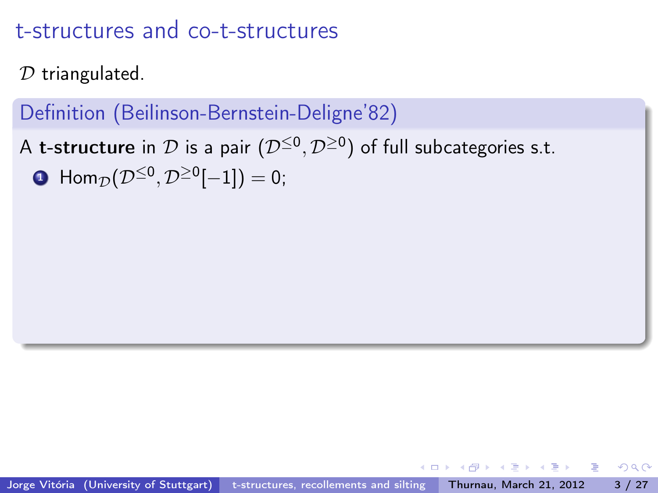$D$  triangulated.

## Definition (Beilinson-Bernstein-Deligne'82)

A **t-structure** in  $\mathcal D$  is a pair  $(\mathcal D^{\leq 0},\mathcal D^{\geq 0})$  of full subcategories s.t.  $\textbf{D} \ \ \mathsf{Hom}_{\mathcal{D}}(\mathcal{D}^{\leq 0},\mathcal{D}^{\geq 0}[-1])=0;$ 

이 사람이 그만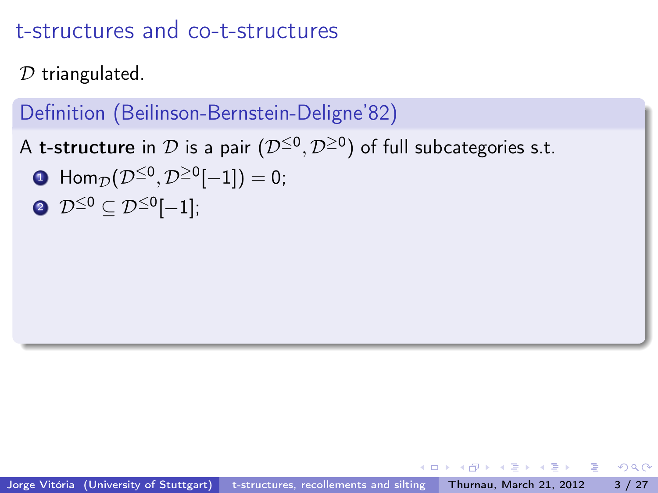$D$  triangulated.

## Definition (Beilinson-Bernstein-Deligne'82)

A **t-structure** in  $\mathcal D$  is a pair  $(\mathcal D^{\leq 0},\mathcal D^{\geq 0})$  of full subcategories s.t.

- $\textbf{D} \ \ \mathsf{Hom}_{\mathcal{D}}(\mathcal{D}^{\leq 0},\mathcal{D}^{\geq 0}[-1])=0;$
- $\boldsymbol{\mathcal{D}}^{\leq 0}\subseteq \mathcal{D}^{\leq 0}[-1];$

평 > 'K 평 > ' '평 '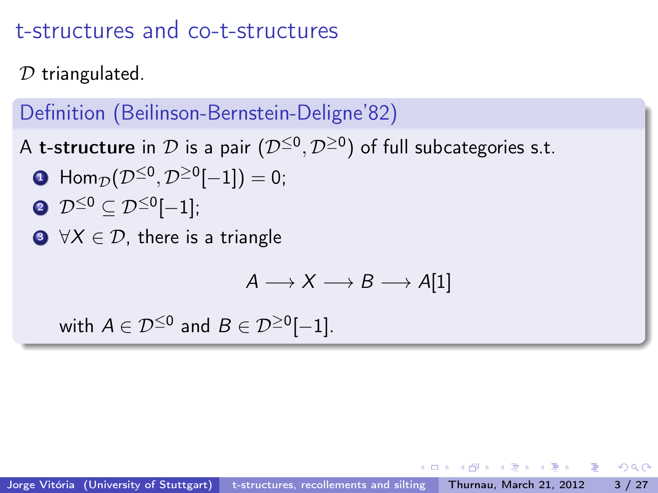$D$  triangulated.

### Definition (Beilinson-Bernstein-Deligne'82)

A **t-structure** in  $\mathcal D$  is a pair  $(\mathcal D^{\leq 0},\mathcal D^{\geq 0})$  of full subcategories s.t.

- $\textbf{D} \ \ \mathsf{Hom}_{\mathcal{D}}(\mathcal{D}^{\leq 0},\mathcal{D}^{\geq 0}[-1])=0;$
- $\boldsymbol{\mathcal{D}}^{\leq 0}\subseteq \mathcal{D}^{\leq 0}[-1];$
- $\bigcirc$   $\forall X \in \mathcal{D}$ , there is a triangle

$$
\mathit{A}\longrightarrow \mathit{X}\longrightarrow \mathit{B}\longrightarrow \mathit{A}[1]
$$

with  $A \in \mathcal{D}^{\leq 0}$  and  $B \in \mathcal{D}^{\geq 0}[-1]$ .

∢ 로 ▶ ( 로 ) - 트 로 - KD Q Q Q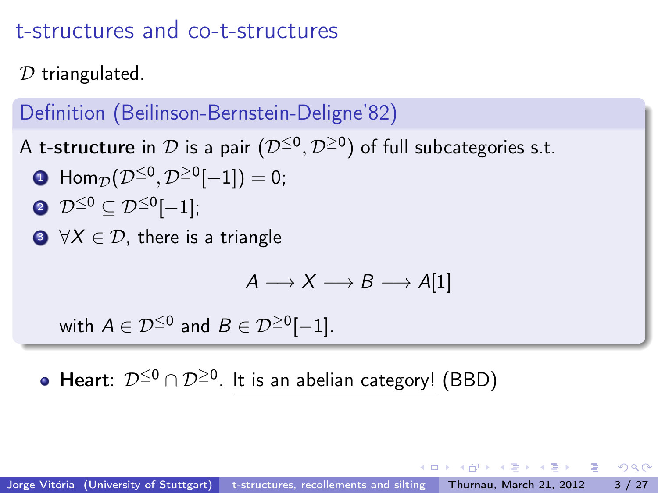$D$  triangulated.

## Definition (Beilinson-Bernstein-Deligne'82)

A **t-structure** in  $\mathcal D$  is a pair  $(\mathcal D^{\leq 0},\mathcal D^{\geq 0})$  of full subcategories s.t.

- $\textbf{D} \ \ \mathsf{Hom}_{\mathcal{D}}(\mathcal{D}^{\leq 0},\mathcal{D}^{\geq 0}[-1])=0;$
- $\boldsymbol{\mathcal{D}}^{\leq 0}\subseteq \mathcal{D}^{\leq 0}[-1];$
- $\bigcirc$   $\forall X \in \mathcal{D}$ , there is a triangle

$$
\mathit{A}\longrightarrow \mathit{X}\longrightarrow \mathit{B}\longrightarrow \mathit{A}[1]
$$

with  $A \in \mathcal{D}^{\leq 0}$  and  $B \in \mathcal{D}^{\geq 0}[-1]$ .

Heart:  $\mathcal{D}^{\leq 0}\cap \mathcal{D}^{\geq 0}.$  It is an abelian category! (BBD)

- K 로 K K 로 K 도 로 X 9 Q Q Q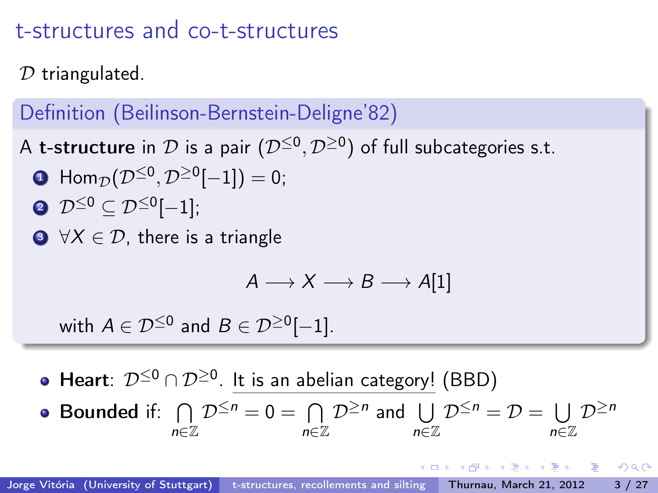$D$  triangulated.

### Definition (Beilinson-Bernstein-Deligne'82)

A **t-structure** in  $\mathcal D$  is a pair  $(\mathcal D^{\leq 0},\mathcal D^{\geq 0})$  of full subcategories s.t.

- $\textbf{D} \ \ \mathsf{Hom}_{\mathcal{D}}(\mathcal{D}^{\leq 0},\mathcal{D}^{\geq 0}[-1])=0;$
- $\boldsymbol{\mathcal{D}}^{\leq 0}\subseteq \mathcal{D}^{\leq 0}[-1];$
- $\bigcirc$   $\forall X \in \mathcal{D}$ , there is a triangle

$$
\mathit{A}\longrightarrow \mathit{X}\longrightarrow \mathit{B}\longrightarrow \mathit{A}[1]
$$

with  $A \in \mathcal{D}^{\leq 0}$  and  $B \in \mathcal{D}^{\geq 0}[-1]$ .

Heart:  $\mathcal{D}^{\leq 0}\cap \mathcal{D}^{\geq 0}.$  It is an abelian category! (BBD)

• **Bounded** if: 
$$
\bigcap_{n\in\mathbb{Z}}\mathcal{D}^{\leq n}=0=\bigcap_{n\in\mathbb{Z}}\mathcal{D}^{\geq n}
$$
 and  $\bigcup_{n\in\mathbb{Z}}\mathcal{D}^{\leq n}=\mathcal{D}=\bigcup_{n\in\mathbb{Z}}\mathcal{D}^{\geq n}$ 

- K 로 K K 로 K 도 로 X 9 Q Q Q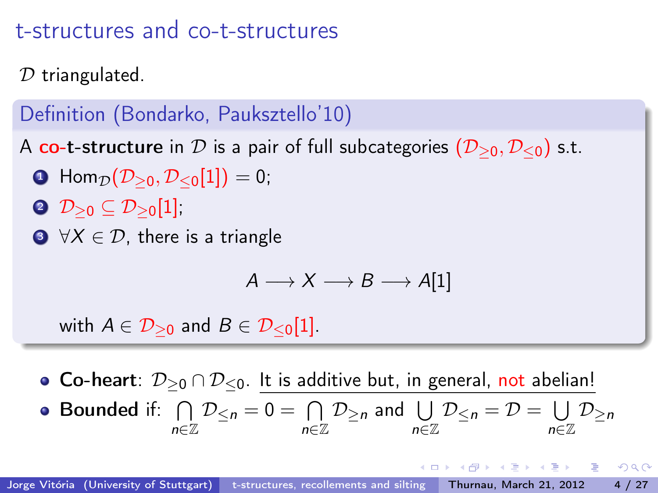$D$  triangulated.

# Definition (Bondarko, Pauksztello'10)

A co-t-structure in D is a pair of full subcategories  $(D_{\geq 0}, D_{\leq 0})$  s.t.

- **1** Hom $p(\mathcal{D}_{\geq 0}, \mathcal{D}_{\leq 0}[1]) = 0;$
- $2 \mathcal{D}_{\geq 0} \subseteq \mathcal{D}_{\geq 0}[1]$ ;
- $\bigcirc$   $\forall X \in \mathcal{D}$ , there is a triangle

$$
\mathit{A}\longrightarrow \mathit{X}\longrightarrow \mathit{B}\longrightarrow \mathit{A}[1]
$$

with  $A \in \mathcal{D}_{\geq 0}$  and  $B \in \mathcal{D}_{\leq 0}[1]$ .

• Co-heart:  $\mathcal{D}_{\geq 0} \cap \mathcal{D}_{\leq 0}$ . It is additive but, in general, not abelian! Bounded if:  $\bigcap$ n∈Z  $\mathcal{D}_{\leq n} = 0 = \bigcap$ n∈Z  $\mathcal{D}_{\geq n}$  and  $\bigcup$ n∈Z  $\mathcal{D}_{\leq n} = \mathcal{D} = \bigcup$ n∈Z  $\mathcal{D}_{\geq n}$ 

御き メミメ メミメー ミー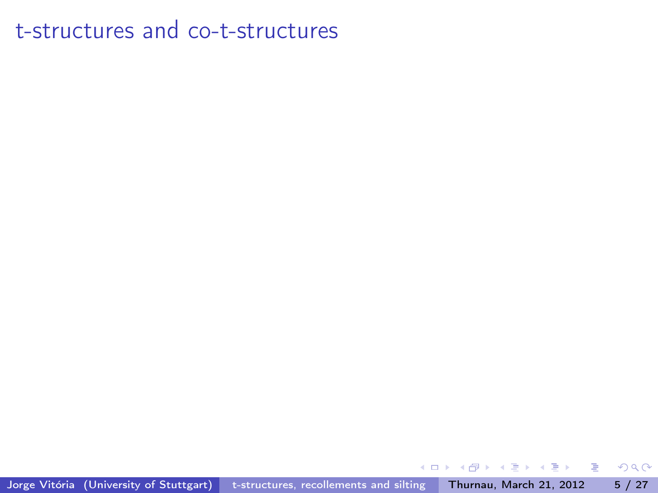Jorge Vitória (University of Stuttgart) [t-structures, recollements and silting](#page-0-0) Thurnau, March 21, 2012 5 / 27

 $\leftarrow$ 

重

 $\mathbf{h}$ 舌 J. -41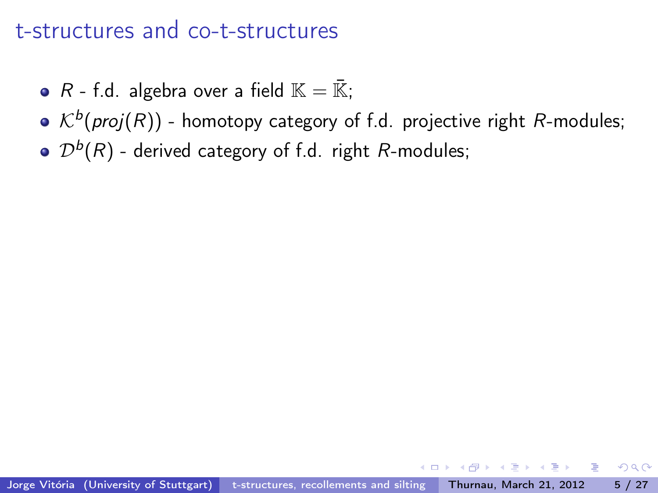- R f.d. algebra over a field  $\mathbb{K} = \overline{\mathbb{K}}$ ;
- $\mathcal{K}^{b}( \mathit{proj}(R) )$  homotopy category of f.d. projective right  $R$ -modules;
- $\mathcal{D}^{b}(R)$  derived category of f.d. right  $R$ -modules;

 $OQ$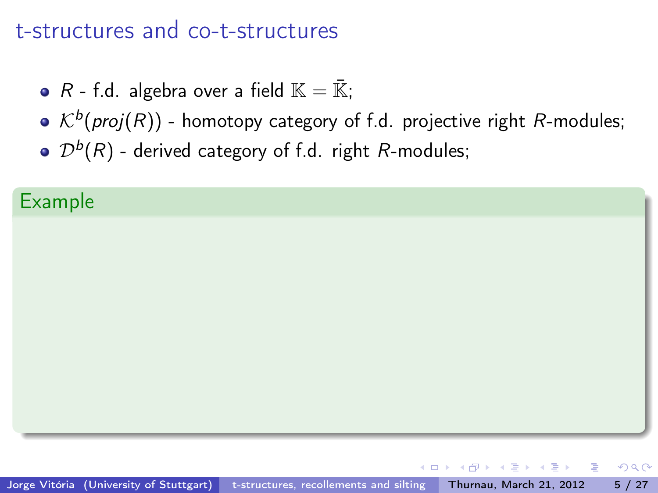- R f.d. algebra over a field  $\mathbb{K} = \overline{\mathbb{K}}$ ;
- $\mathcal{K}^{b}( \mathit{proj}(R) )$  homotopy category of f.d. projective right  $R$ -modules;
- $\mathcal{D}^{b}(R)$  derived category of f.d. right  $R$ -modules;

#### Example

ヨメ メヨメ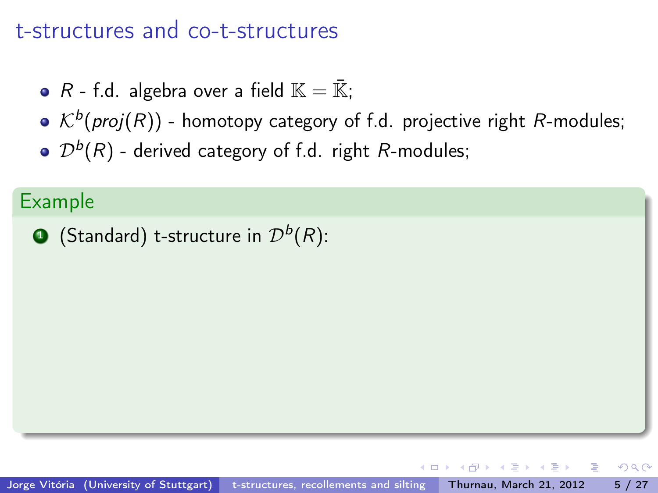- R f.d. algebra over a field  $\mathbb{K} = \overline{\mathbb{K}}$ ;
- $\mathcal{K}^{b}( \mathit{proj}(R) )$  homotopy category of f.d. projective right  $R$ -modules;
- $\mathcal{D}^{b}(R)$  derived category of f.d. right  $R$ -modules;

#### Example

 $\textbf{D}$  (Standard) t-structure in  $\mathcal{D}^b(R)$ :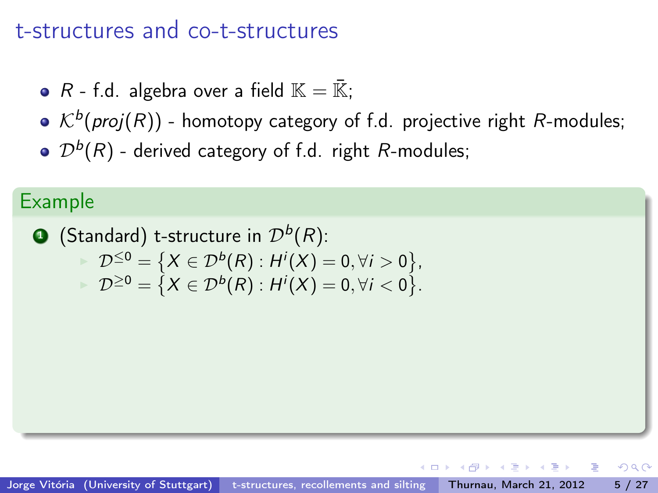- R f.d. algebra over a field  $\mathbb{K} = \overline{\mathbb{K}}$ ;
- $\mathcal{K}^{b}( \mathit{proj}(R) )$  homotopy category of f.d. projective right  $R$ -modules;
- $\mathcal{D}^{b}(R)$  derived category of f.d. right  $R$ -modules;

#### Example

 $\textbf{D}$  (Standard) t-structure in  $\mathcal{D}^b(R)$ :  $\mathcal{D}^{\leq 0} = \left\{ X \in \mathcal{D}^b(R) : H^i(X) = 0, \forall i > 0 \right\},$  $\mathcal{D}^{\geq 0} = \{ X \in \mathcal{D}^b(R) : H^i(X) = 0, \forall i < 0 \}.$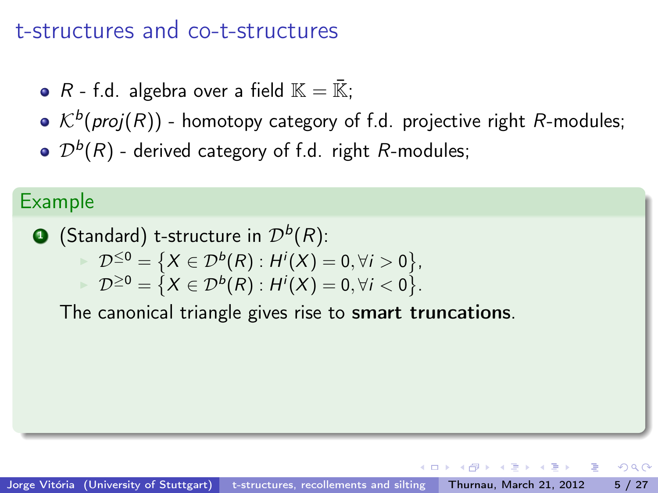- R f.d. algebra over a field  $\mathbb{K} = \overline{\mathbb{K}}$ ;
- $\mathcal{K}^{b}( \mathit{proj}(R) )$  homotopy category of f.d. projective right  $R$ -modules;
- $\mathcal{D}^{b}(R)$  derived category of f.d. right  $R$ -modules;

#### Example

 $\textbf{D}$  (Standard) t-structure in  $\mathcal{D}^b(R)$ :

$$
\mathcal{D}^{\leq 0} = \big\{X \in \mathcal{D}^b(R) : H^i(X) = 0, \forall i > 0 \big\},
$$
  

$$
\mathcal{D}^{\geq 0} = \big\{X \in \mathcal{D}^b(R) : H^i(X) = 0, \forall i < 0 \big\}.
$$

The canonical triangle gives rise to smart truncations.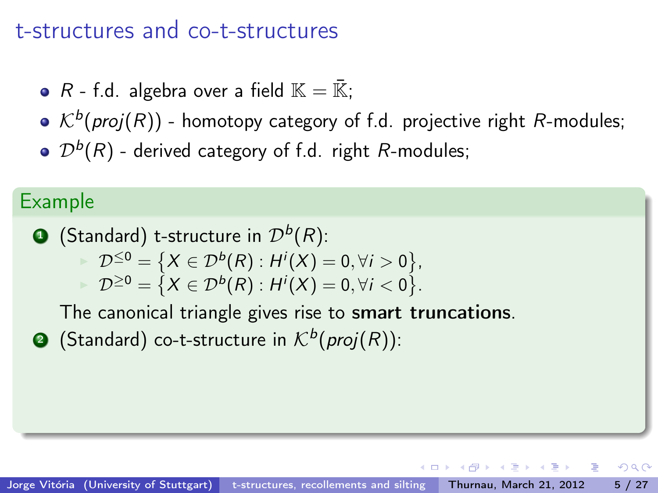- R f.d. algebra over a field  $\mathbb{K} = \overline{\mathbb{K}}$ ;
- $\mathcal{K}^{b}( \mathit{proj}(R) )$  homotopy category of f.d. projective right  $R$ -modules;
- $\mathcal{D}^{b}(R)$  derived category of f.d. right  $R$ -modules;

#### Example

 $\textbf{D}$  (Standard) t-structure in  $\mathcal{D}^b(R)$ :

$$
\mathcal{D}^{\leq 0} = \big\{X \in \mathcal{D}^b(R) : H^i(X) = 0, \forall i > 0 \big\},
$$
  

$$
\mathcal{D}^{\geq 0} = \big\{X \in \mathcal{D}^b(R) : H^i(X) = 0, \forall i < 0 \big\}.
$$

The canonical triangle gives rise to smart truncations.

**2** (Standard) co-t-structure in  $\mathcal{K}^b(proj(R))$ :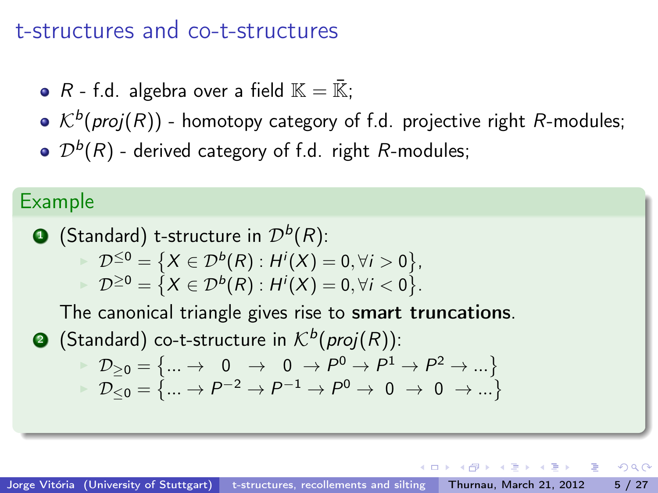- R f.d. algebra over a field  $\mathbb{K} = \overline{\mathbb{K}}$ ;
- $\mathcal{K}^{b}( \mathit{proj}(R) )$  homotopy category of f.d. projective right  $R$ -modules;
- $\mathcal{D}^{b}(R)$  derived category of f.d. right  $R$ -modules;

#### Example

\n- \n**6** (Standard) t-structure in 
$$
\mathcal{D}^b(R)
$$
: \n  $\mathcal{D}^{\leq 0} = \{X \in \mathcal{D}^b(R) : H^i(X) = 0, \forall i > 0\}$ , \n  $\mathcal{D}^{\geq 0} = \{X \in \mathcal{D}^b(R) : H^i(X) = 0, \forall i < 0\}$ . \n The canonical triangle gives rise to smart truncations.

\n
\n- \n**6** (Standard) co-t-structure in  $\mathcal{K}^b(\text{proj}(R))$ : \n  $\mathcal{D}_{\geq 0} = \{ \dots \to 0 \to 0 \to \mathcal{P}^0 \to \mathcal{P}^1 \to \mathcal{P}^2 \to \dots \}$ : \n  $\mathcal{D}_{\leq 0} = \{ \dots \to \mathcal{P}^{-2} \to \mathcal{P}^{-1} \to \mathcal{P}^0 \to 0 \to 0 \to \dots \}$ \n
\n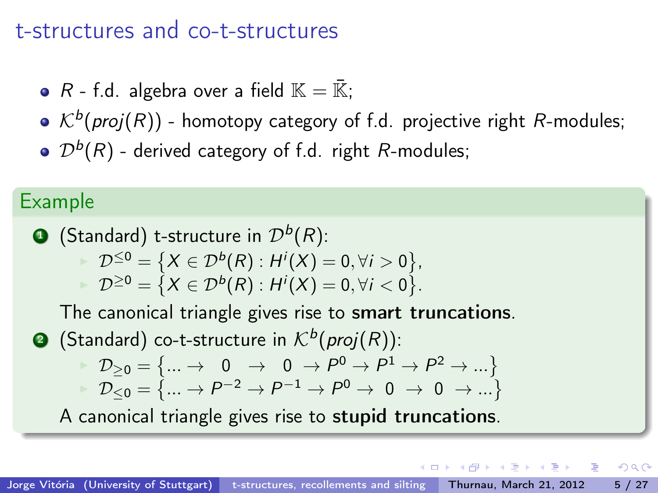- R f.d. algebra over a field  $\mathbb{K} = \overline{\mathbb{K}}$ ;
- $\mathcal{K}^{b}( \mathit{proj}(R) )$  homotopy category of f.d. projective right  $R$ -modules;
- $\mathcal{D}^{b}(R)$  derived category of f.d. right  $R$ -modules;

#### Example

\n- \n (Standard) t-structure in 
$$
\mathcal{D}^b(R)
$$
:\n  $\mathcal{D}^{\leq 0} = \{X \in \mathcal{D}^b(R) : H^i(X) = 0, \forall i > 0\}$ ,\n  $\mathcal{D}^{\geq 0} = \{X \in \mathcal{D}^b(R) : H^i(X) = 0, \forall i < 0\}$ .\n
\n- \n The canonical triangle gives rise to **smart truncations**.\n
\n- \n (Standard) co-t-structure in  $\mathcal{K}^b(\text{proj}(R))$ :\n  $\mathcal{D}_{\geq 0} = \{\ldots \to 0 \to 0 \to \mathcal{P}^0 \to \mathcal{P}^1 \to \mathcal{P}^2 \to \ldots\}$ ,\n  $\mathcal{D}_{\leq 0} = \{\ldots \to \mathcal{P}^{-2} \to \mathcal{P}^{-1} \to \mathcal{P}^0 \to 0 \to 0 \to \ldots\}$ .\n
\n- \n A canonical triangle gives rise to **stupid truncations**.\n
\n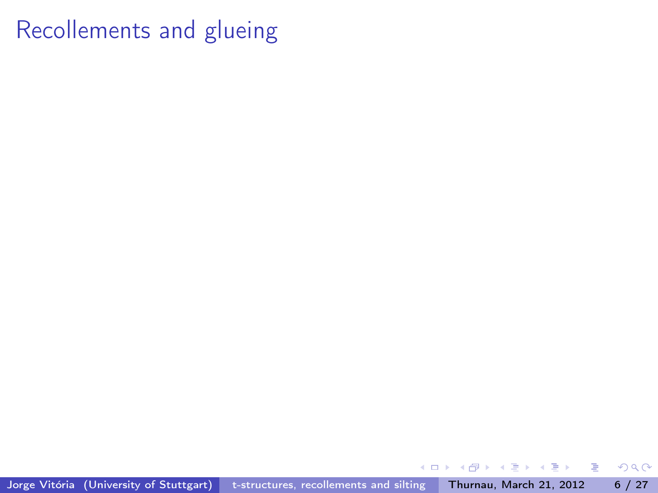Jorge Vitória (University of Stuttgart) [t-structures, recollements and silting](#page-0-0) Thurnau, March 21, 2012 6 / 27

 $\leftarrow$ 

重

 $\mathbf{h}$ Þ J.  $\mathcal{A}$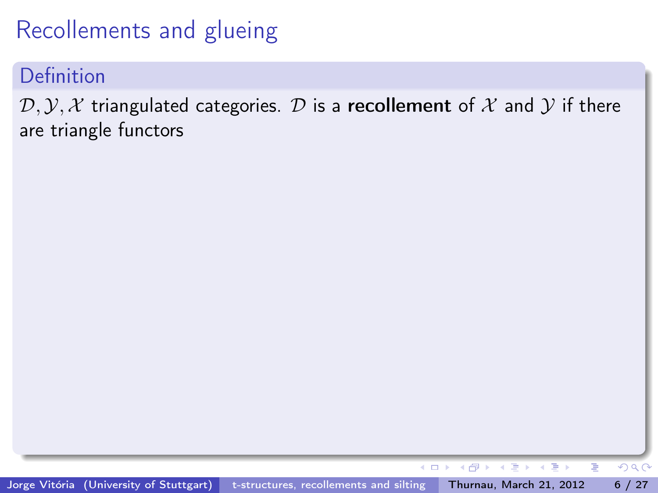Definition

 $(D, Y, X$  triangulated categories. D is a recollement of X and Y if there are triangle functors

 $\leftarrow$ 

 $\leftarrow \equiv$ 

Þ  $\mathbf{p}$   $299$ 

э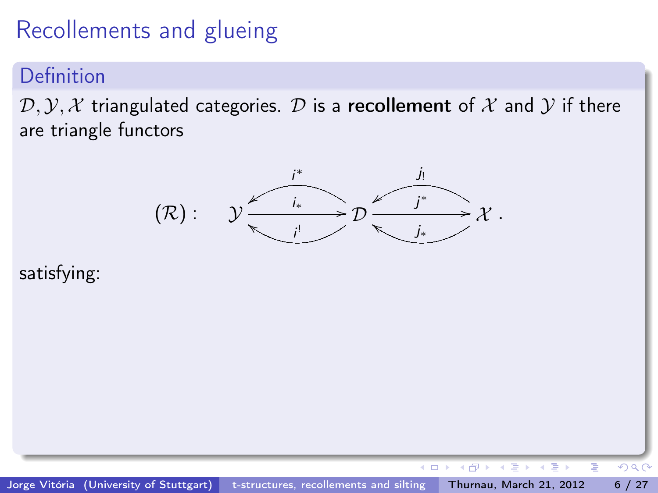### Definition

 $(D, Y, X$  triangulated categories. D is a recollement of X and Y if there are triangle functors



#### satisfying:

←□

 $QQ$ 

Þ

э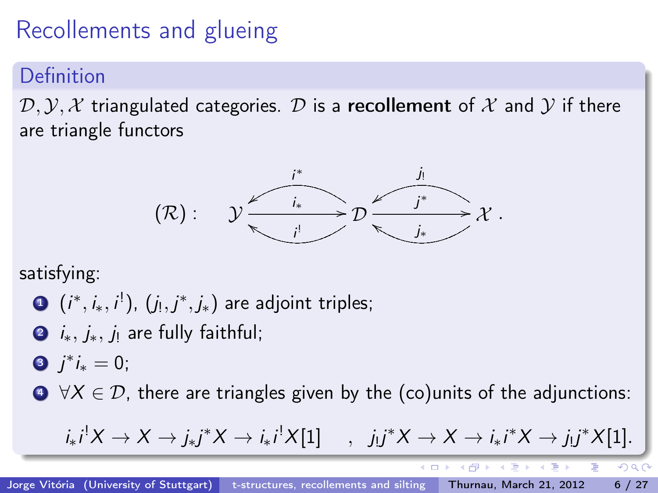### Definition

 $(D, Y, X$  triangulated categories. D is a recollement of X and Y if there are triangle functors



satisfying:

$$
\bullet (i^*, i_*, i^!), (j_!, j^*, j_*) \text{ are adjoint triples};
$$

 $\bullet$  *i*<sub>\*</sub>, *j*<sub>\*</sub>, *j*<sub>1</sub> are fully faithful;

$$
\bullet j^*i_* = 0;
$$

 $\bigcirc \forall X \in \mathcal{D}$ , there are triangles given by the (co)units of the adjunctions:

$$
i_*i^!X \to X \to j_*j^*X \to i_*i^!X[1]
$$
,  $j_!j^*X \to X \to i_*i^*X \to j_!j^*X[1].$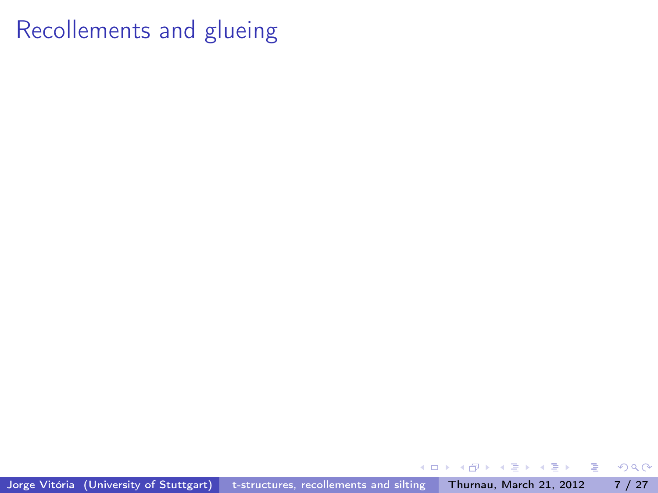Jorge Vitória (University of Stuttgart) [t-structures, recollements and silting](#page-0-0) Thurnau, March 21, 2012 7 / 27

 $\leftarrow$ 

重

 $\mathbf{h}$ Þ J.  $\mathcal{A}$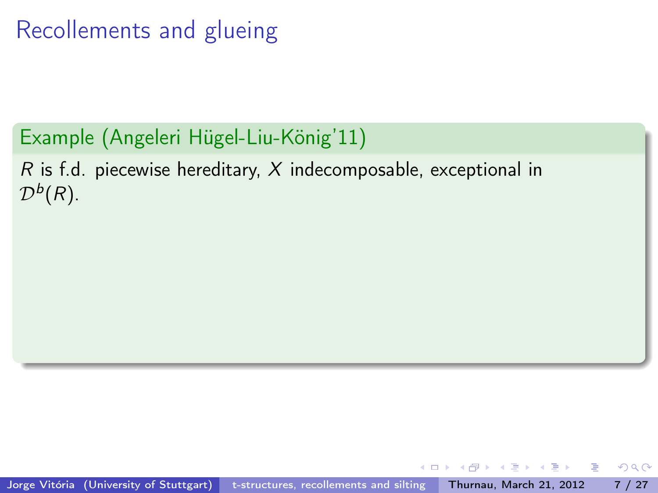# Example (Angeleri Hügel-Liu-König'11)

R is f.d. piecewise hereditary, X indecomposable, exceptional in  $\mathcal{D}^b(R)$ .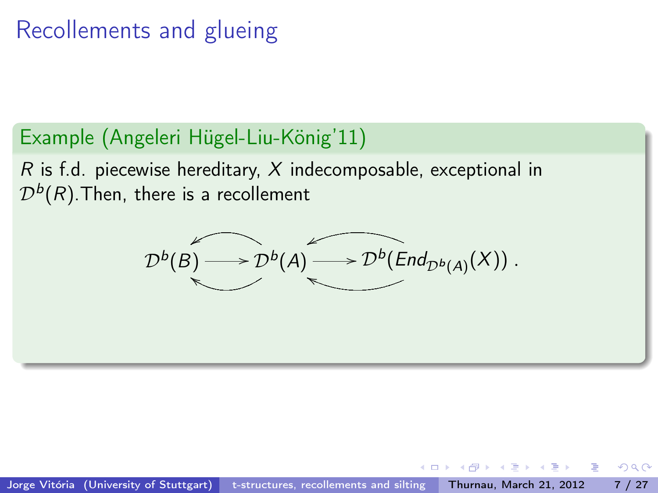## Example (Angeleri Hügel-Liu-König'11)

 $R$  is f.d. piecewise hereditary, X indecomposable, exceptional in  $\mathcal{D}^{b}(R)$ .Then, there is a recollement

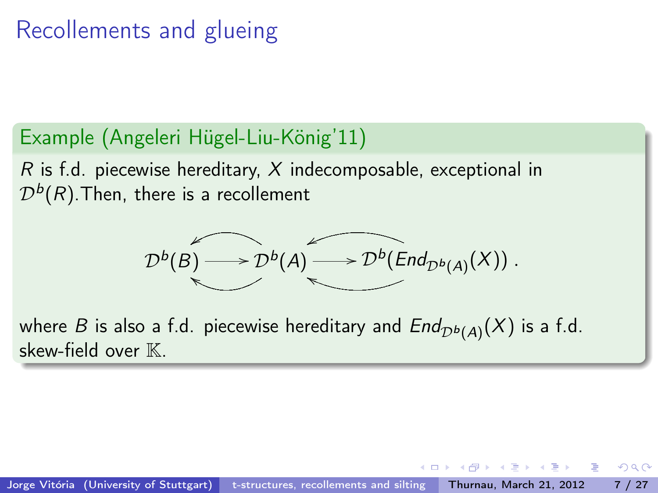## Example (Angeleri Hügel-Liu-König'11)

 $R$  is f.d. piecewise hereditary, X indecomposable, exceptional in  $\mathcal{D}^{b}(R)$ .Then, there is a recollement

$$
\mathcal{D}^{b}(B) \longrightarrow \mathcal{D}^{b}(A) \longrightarrow \mathcal{D}^{b}(End_{\mathcal{D}^{b}(A)}(X)).
$$

where  $B$  is also a f.d. piecewise hereditary and  $\mathit{End}_{\mathcal{D}^b(A)}(X)$  is a f.d. skew-field over  $\mathbb{K}$ .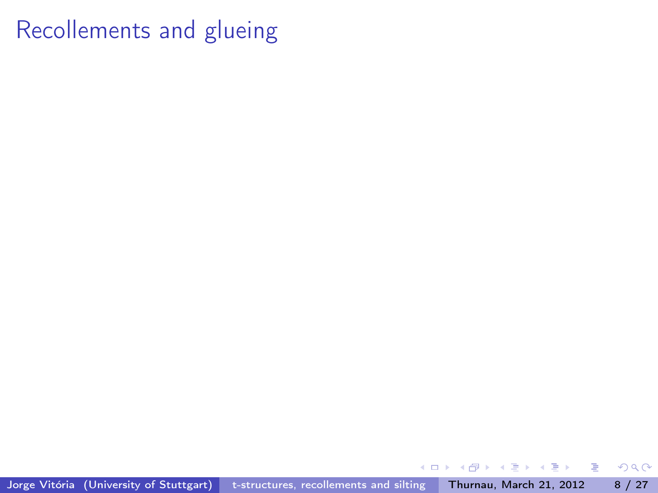Jorge Vitória (University of Stuttgart) [t-structures, recollements and silting](#page-0-0) Thurnau, March 21, 2012 8 / 27

 $\leftarrow$ 

重

 $\mathbf{h}$ Þ J.  $\mathcal{A}$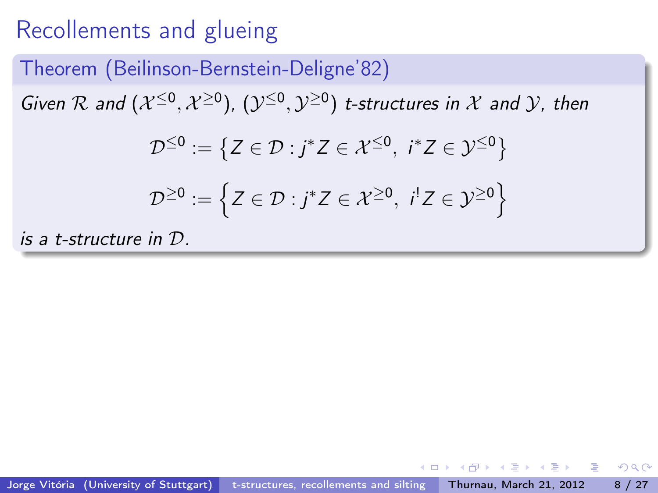#### Theorem (Beilinson-Bernstein-Deligne'82)

Given R and  $(\mathcal{X}^{\leq 0}, \mathcal{X}^{\geq 0})$ ,  $(\mathcal{Y}^{\leq 0}, \mathcal{Y}^{\geq 0})$  t-structures in X and Y, then

$$
\mathcal{D}^{\leq 0} := \{ Z \in \mathcal{D} : j^* Z \in \mathcal{X}^{\leq 0}, i^* Z \in \mathcal{Y}^{\leq 0} \}
$$
  

$$
\mathcal{D}^{\geq 0} := \left\{ Z \in \mathcal{D} : j^* Z \in \mathcal{X}^{\geq 0}, i^! Z \in \mathcal{Y}^{\geq 0} \right\}
$$

is a t-structure in D.

이 사람이 그만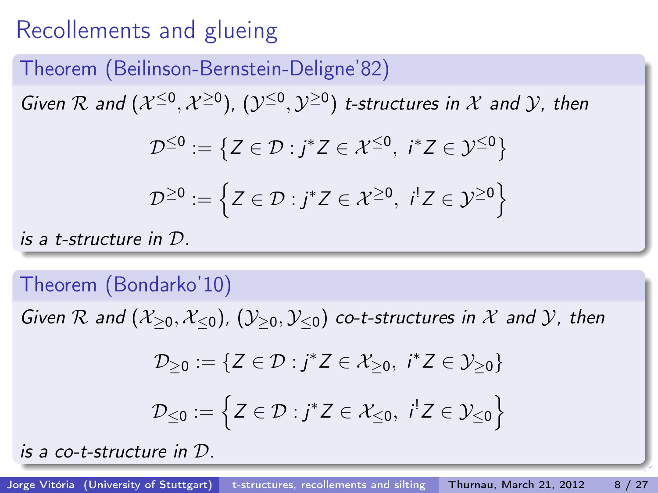#### Theorem (Beilinson-Bernstein-Deligne'82)

Given R and  $(\mathcal{X}^{\leq 0}, \mathcal{X}^{\geq 0})$ ,  $(\mathcal{Y}^{\leq 0}, \mathcal{Y}^{\geq 0})$  t-structures in X and Y, then

$$
\mathcal{D}^{\leq 0} := \left\{ Z \in \mathcal{D} : j^* Z \in \mathcal{X}^{\leq 0}, i^* Z \in \mathcal{Y}^{\leq 0} \right\}
$$

$$
\mathcal{D}^{\geq 0} := \left\{ Z \in \mathcal{D} : j^* Z \in \mathcal{X}^{\geq 0}, i! Z \in \mathcal{Y}^{\geq 0} \right\}
$$

is a t-structure in D.

#### Theorem (Bondarko'10)

Given R and  $(\mathcal{X}_{\geq 0}, \mathcal{X}_{\leq 0})$ ,  $(\mathcal{Y}_{\geq 0}, \mathcal{Y}_{\leq 0})$  co-t-structures in X and Y, then

$$
\mathcal{D}_{\geq 0} := \{ Z \in \mathcal{D} : j^* Z \in \mathcal{X}_{\geq 0}, i^* Z \in \mathcal{Y}_{\geq 0} \}
$$

$$
\mathcal{D}_{\leq 0} := \left\{ Z \in \mathcal{D} : j^* Z \in \mathcal{X}_{\leq 0}, \ i^! Z \in \mathcal{Y}_{\leq 0} \right\}
$$

is a co-t-structure in D.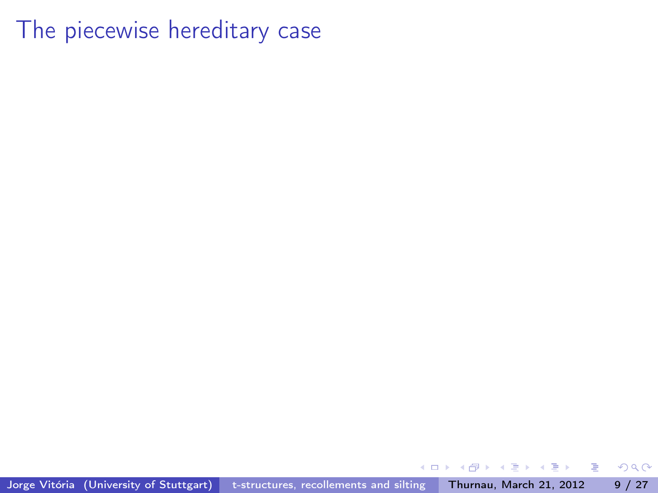Jorge Vitória (University of Stuttgart) [t-structures, recollements and silting](#page-0-0) Thurnau, March 21, 2012 9 / 27

∢⊡

重

≃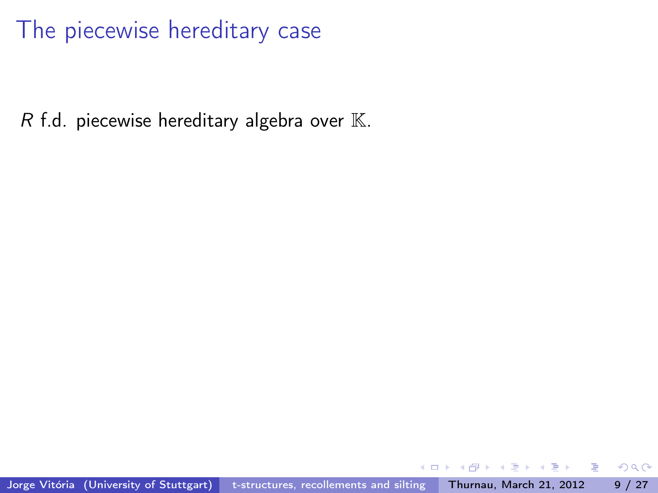$R$  f.d. piecewise hereditary algebra over  $K$ .

 $\Omega$ 

э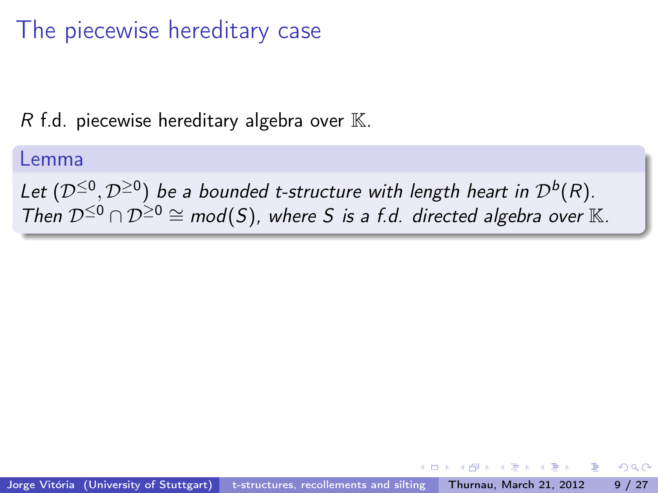R f.d. piecewise hereditary algebra over  $\mathbb{K}$ .

#### Lemma

Let  $(D^{\leq 0}, D^{\geq 0})$  be a bounded t-structure with length heart in  $\mathcal{D}^b(R)$ . Then  $D^{\leq 0} \cap D^{\geq 0} \cong \text{mod}(S)$ , where S is a f.d. directed algebra over K.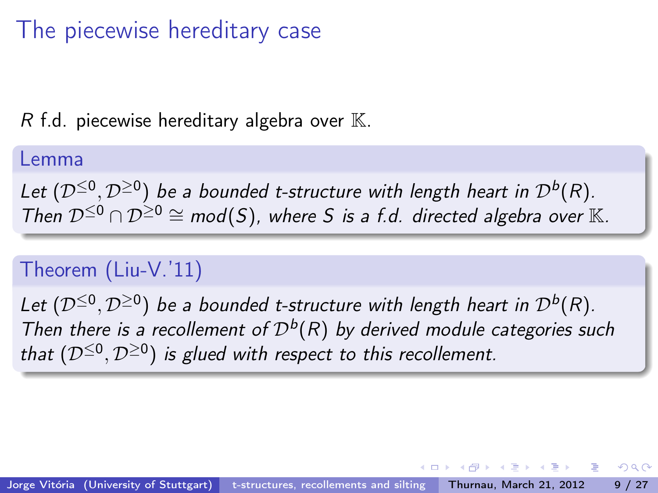R f.d. piecewise hereditary algebra over  $\mathbb{K}$ .

#### Lemma

Let  $(D^{\leq 0}, D^{\geq 0})$  be a bounded t-structure with length heart in  $\mathcal{D}^b(R)$ . Then  $\mathcal{D}^{\leq 0} \cap \mathcal{D}^{\geq 0} \cong \text{mod}(S)$ , where S is a f.d. directed algebra over K.

### Theorem (Liu-V.'11)

Let  $(D^{\leq 0}, D^{\geq 0})$  be a bounded t-structure with length heart in  $\mathcal{D}^b(R)$ . Then there is a recollement of  $\mathcal{D}^b(R)$  by derived module categories such that  $(\mathcal{D}^{\leq 0}, \mathcal{D}^{\geq 0})$  is glued with respect to this recollement.

 $\mathbf{A} \oplus \mathbf{A} \rightarrow \mathbf{A} \oplus \mathbf{A} \rightarrow \mathbf{A} \oplus \mathbf{B}$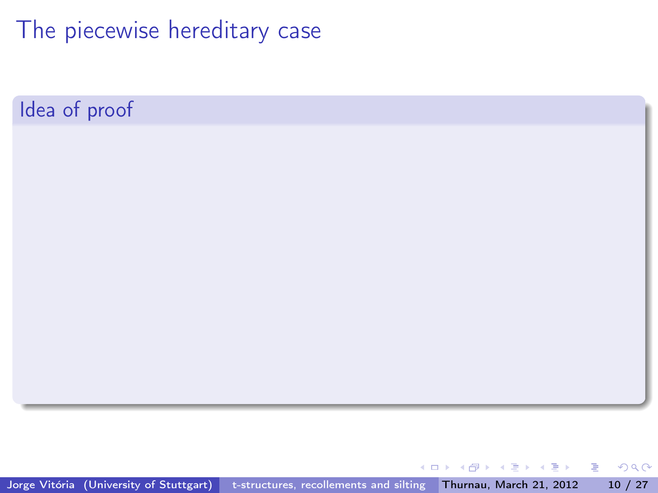Idea of proof

Jorge Vitória (University of Stuttgart) [t-structures, recollements and silting](#page-0-0) Thurnau, March 21, 2012 10 / 27

 $\left\{ \left( \left| \mathbf{H} \right| \right) \in \mathbb{R} \right\} \times \left( \left| \mathbf{H} \right| \right) \times \left| \mathbf{H} \right| \times \mathbb{R}$ 

4 D F

重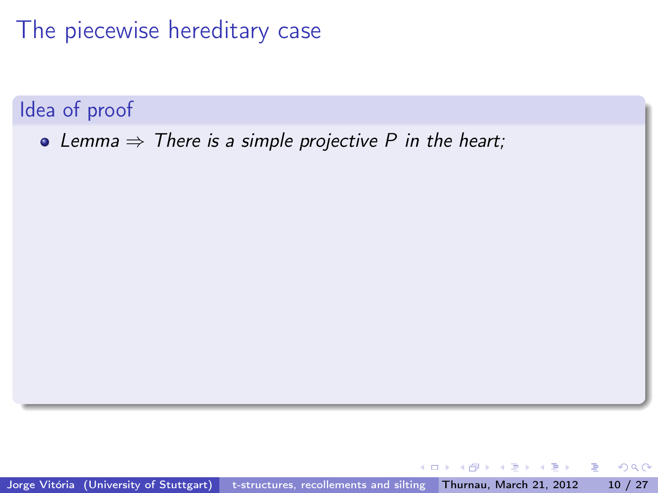Idea of proof

• Lemma  $\Rightarrow$  There is a simple projective P in the heart;

Jorge Vitória (University of Stuttgart) [t-structures, recollements and silting](#page-0-0) Thurnau, March 21, 2012 10 / 27

÷  $\sim$  $\rightarrow$   $\equiv$   $\rightarrow$ 

 $\leftarrow$ 

э

 $\Omega$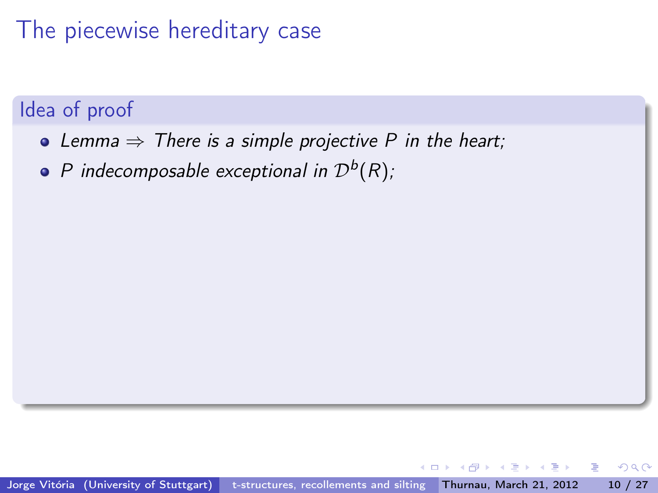### The piecewise hereditary case

#### Idea of proof

- Lemma  $\Rightarrow$  There is a simple projective P in the heart;
- P indecomposable exceptional in  $\mathcal{D}^b(R)$ ;

э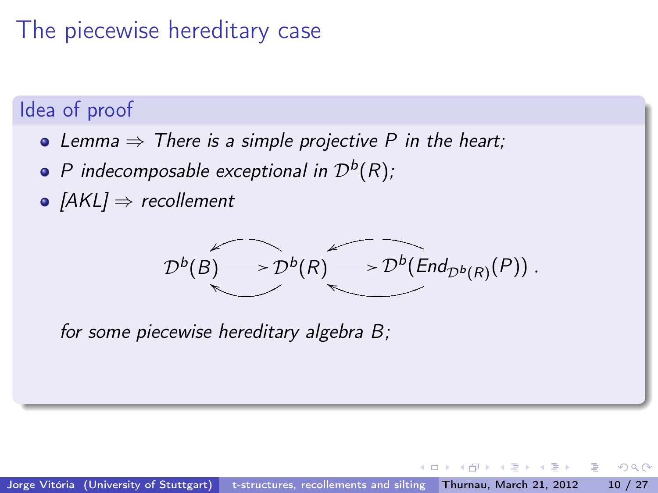### The piecewise hereditary case

#### Idea of proof

- Lemma  $\Rightarrow$  There is a simple projective P in the heart;
- P indecomposable exceptional in  $\mathcal{D}^b(R)$ ;
- $[AKL] \Rightarrow$  recollement

$$
\mathcal{D}^{b}(B) \longrightarrow \mathcal{D}^{b}(R) \longrightarrow \mathcal{D}^{b}(End_{\mathcal{D}^{b}(R)}(P)).
$$

for some piecewise hereditary algebra B;

э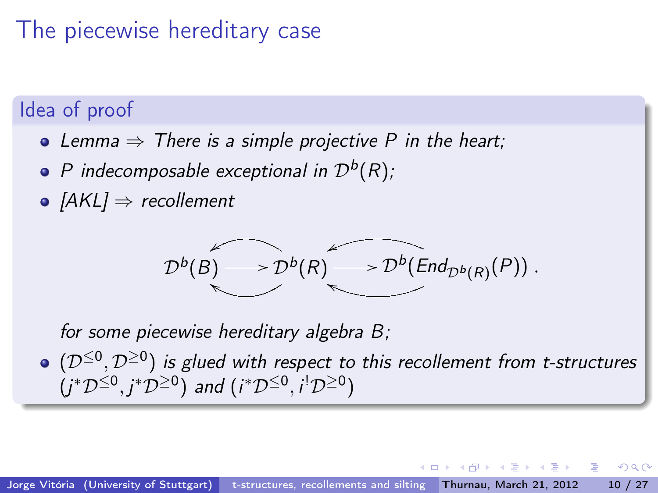### The piecewise hereditary case

#### Idea of proof

- Lemma  $\Rightarrow$  There is a simple projective P in the heart;
- P indecomposable exceptional in  $\mathcal{D}^b(R)$ ;
- $[AKL] \Rightarrow$  recollement

$$
\mathcal{D}^{b}(B) \longrightarrow \mathcal{D}^{b}(R) \longrightarrow \mathcal{D}^{b}(End_{\mathcal{D}^{b}(R)}(P)).
$$

for some piecewise hereditary algebra B;

 $(\mathcal{D}^{\leq 0},\mathcal{D}^{\geq 0})$  is glued with respect to this recollement from t-structures  $(j^*\mathcal{D}^{\leq 0}, j^*\mathcal{D}^{\geq 0})$  and  $(i^*\mathcal{D}^{\leq 0}, i^!\mathcal{D}^{\geq 0})$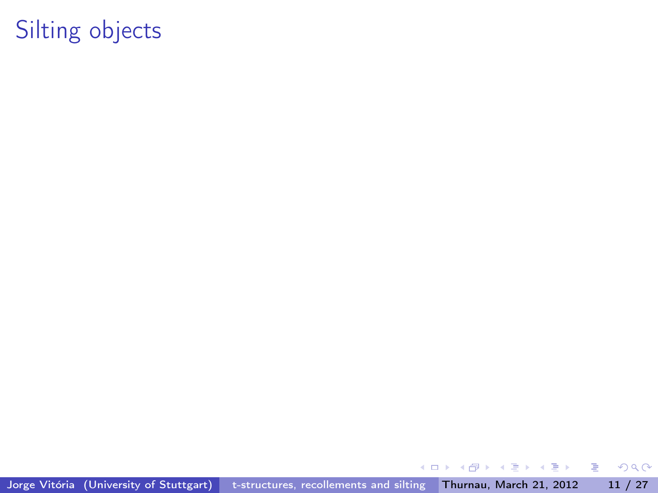Jorge Vitória (University of Stuttgart) [t-structures, recollements and silting](#page-0-0) Thurnau, March 21, 2012 11 / 27

 $\leftarrow$   $\Box$ 

メタメ メミメ メミメ

重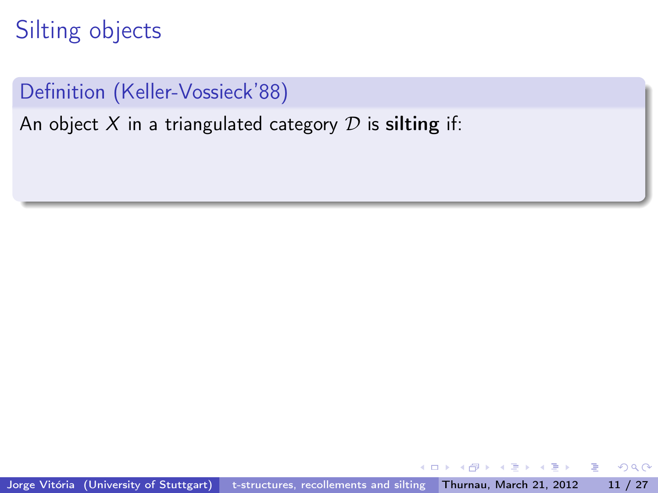### Definition (Keller-Vossieck'88)

An object  $X$  in a triangulated category  $D$  is silting if:

**REAL** ÷.  $QQ$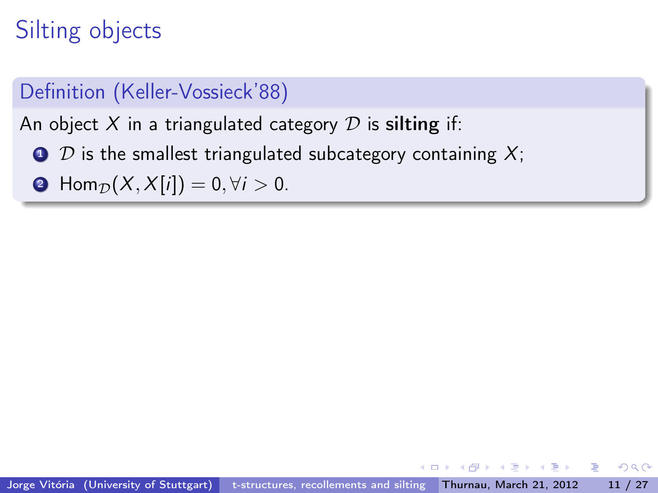### Definition (Keller-Vossieck'88)

An object X in a triangulated category  $D$  is silting if:

- $\bullet$  D is the smallest triangulated subcategory containing X;
- **2** Hom<sub>D</sub> $(X, X[i]) = 0, \forall i > 0.$

 $A \equiv \mathbf{1} \times A \equiv \mathbf{1} \times \mathbf{1} \equiv \mathbf{1}$ 

 $QQ$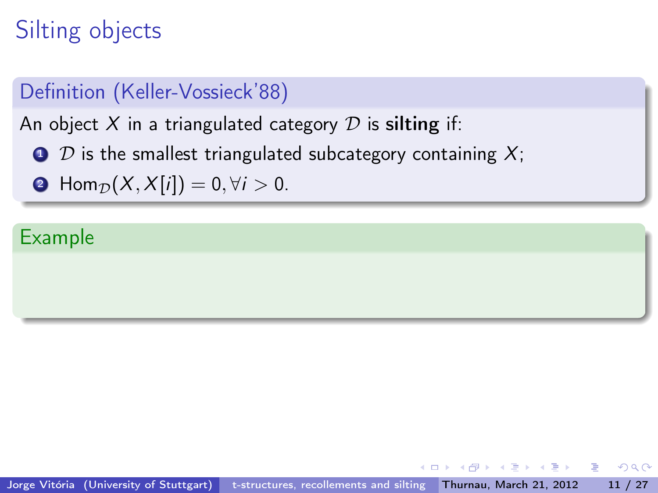#### Definition (Keller-Vossieck'88)

An object  $X$  in a triangulated category  $D$  is silting if:

- $\bullet$  D is the smallest triangulated subcategory containing X;
- **2** Hom<sub>D</sub> $(X, X[i]) = 0, \forall i > 0.$

#### Example

**KENKEN B** 

 $\Omega$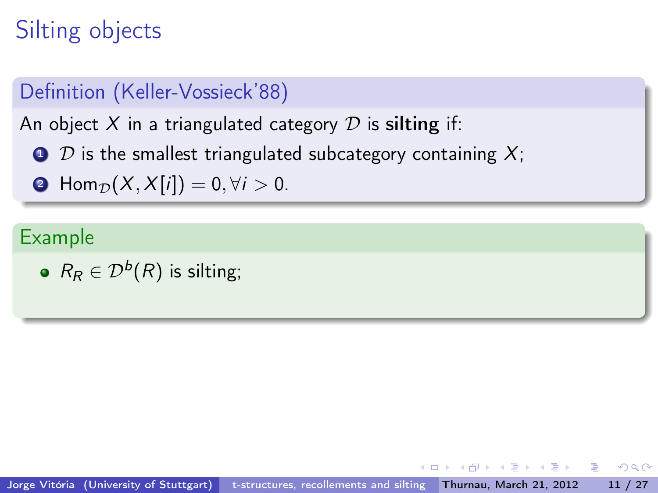### Definition (Keller-Vossieck'88)

An object X in a triangulated category  $D$  is silting if:

- $\bullet$  D is the smallest triangulated subcategory containing X;
- **2** Hom<sub>D</sub> $(X, X[i]) = 0, \forall i > 0.$

#### Example

 $R_R \in \mathcal{D}^b(R)$  is silting;

아이들이 어른이 나를 안

 $\Omega$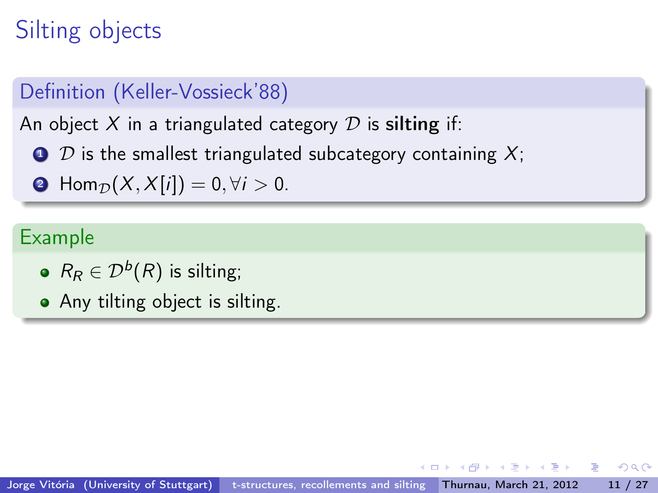### Definition (Keller-Vossieck'88)

An object X in a triangulated category  $D$  is silting if:

- $\bullet$  D is the smallest triangulated subcategory containing X;
- **2** Hom<sub>D</sub> $(X, X[i]) = 0, \forall i > 0.$

#### Example

- $R_R \in \mathcal{D}^b(R)$  is silting;
- Any tilting object is silting.

→ (唐) → (唐) → (唐)

 $\Omega$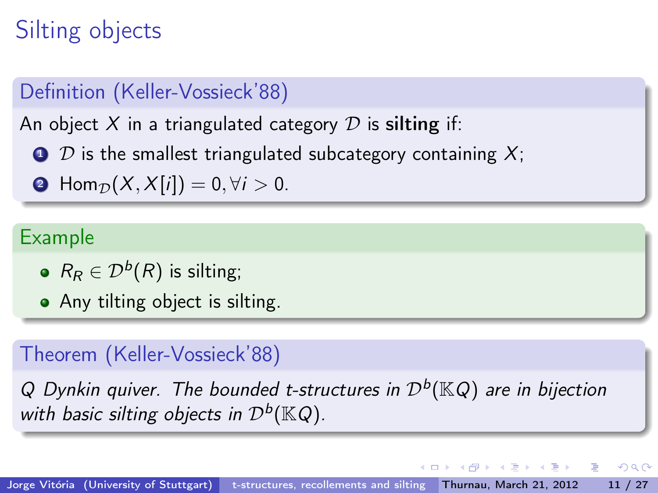### Definition (Keller-Vossieck'88)

An object  $X$  in a triangulated category  $D$  is silting if:

- $\bullet$  D is the smallest triangulated subcategory containing X;
- **2** Hom<sub>D</sub> $(X, X[i]) = 0, \forall i > 0.$

#### Example

- $R_R \in \mathcal{D}^b(R)$  is silting;
- Any tilting object is silting.

### Theorem (Keller-Vossieck'88)

Q Dynkin quiver. The bounded t-structures in  $\mathcal{D}^b(\mathbb{K} Q)$  are in bijection with basic silting objects in  $\mathcal{D}^b(\mathbb{K} Q)$ .

K @ → K 호 → K 호 → 《 호 →

 $QQ$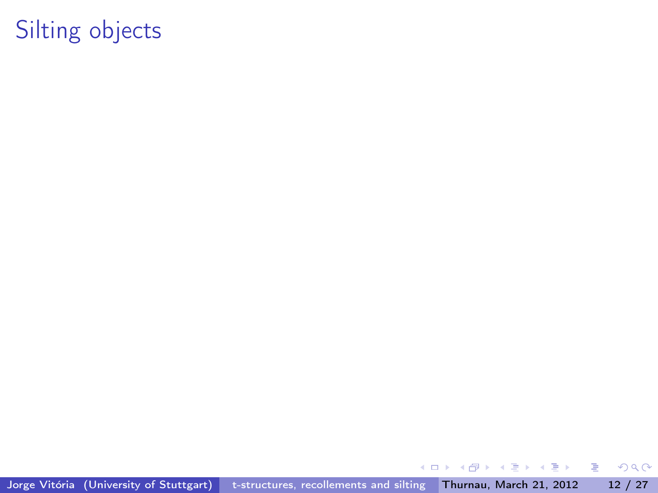Jorge Vitória (University of Stuttgart) [t-structures, recollements and silting](#page-0-0) Thurnau, March 21, 2012 12 / 27

 $\leftarrow$   $\Box$ 

メタメ メミメ メミメ

重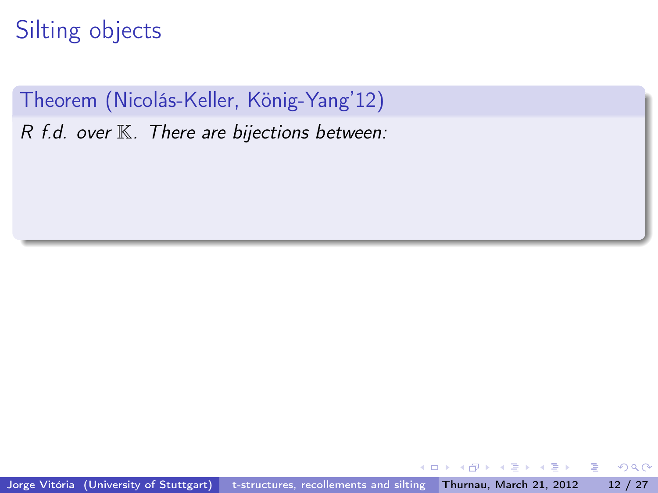Theorem (Nicolás-Keller, König-Yang'12)  $R$  f.d. over  $K$ . There are bijections between:

 $\sim$  $\rightarrow \equiv$ 

÷

э

 $QQ$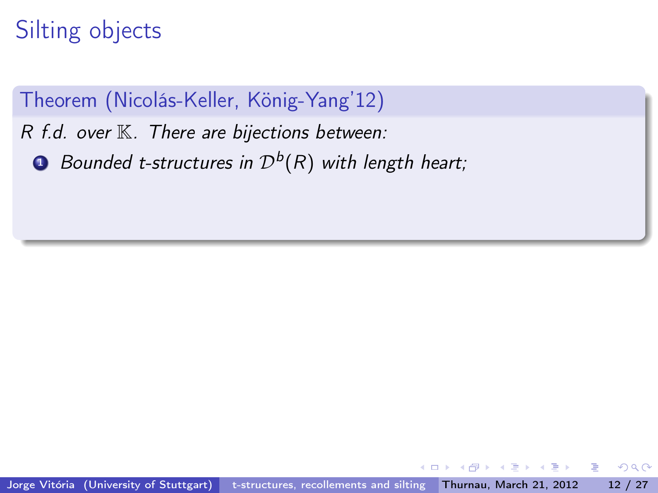Theorem (Nicolás-Keller, König-Yang'12)

 $R$  f.d. over  $K$ . There are bijections between:

 $\textbf{D}$  Bounded t-structures in  $\mathcal{D}^b(R)$  with length heart;

 $200$ 

э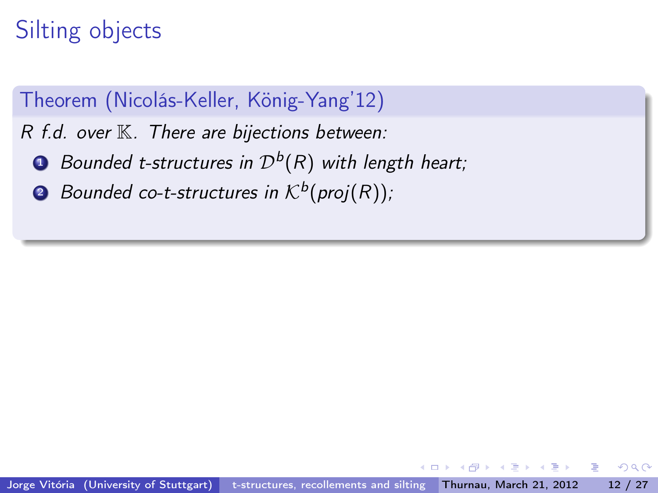### Theorem (Nicolás-Keller, König-Yang'12)

 $R$  f.d. over  $K$ . There are bijections between:

- $\textbf{D}$  Bounded t-structures in  $\mathcal{D}^b(R)$  with length heart;
- $\bullet$  Bounded co-t-structures in  $\mathcal{K}^{b}( \textit{proj}(R))$  ;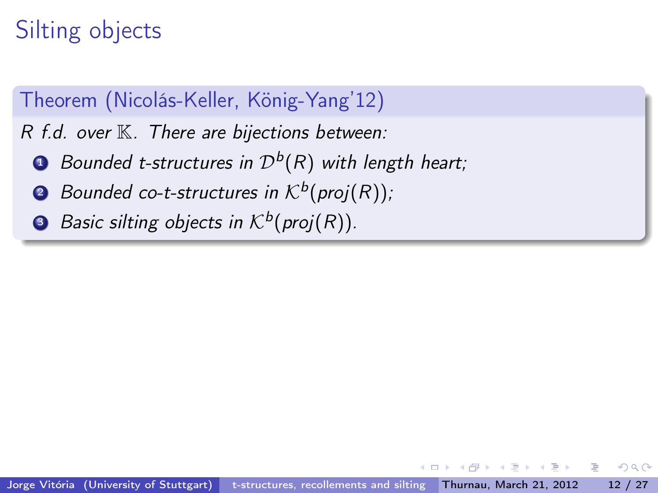### Theorem (Nicolás-Keller, König-Yang'12)

 $R$  f.d. over  $K$ . There are bijections between:

- $\textbf{D}$  Bounded t-structures in  $\mathcal{D}^b(R)$  with length heart;
- $\bullet$  Bounded co-t-structures in  $\mathcal{K}^{b}( \textit{proj}(R))$  ;
- **3** Basic silting objects in  $\mathcal{K}^b(\mathsf{proj}(R)).$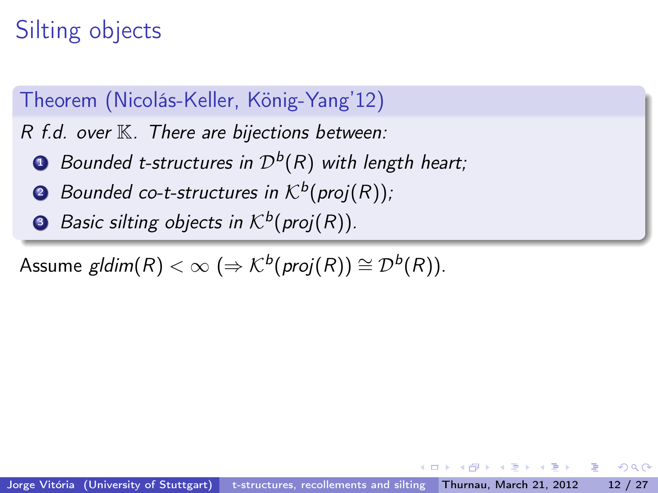### Theorem (Nicolás-Keller, König-Yang'12)

 $R$  f.d. over  $K$ . There are bijections between:

- $\textbf{D}$  Bounded t-structures in  $\mathcal{D}^b(R)$  with length heart;
- $\bullet$  Bounded co-t-structures in  $\mathcal{K}^{b}( \textit{proj}(R))$  ;
- **3** Basic silting objects in  $\mathcal{K}^b(\mathsf{proj}(R)).$

Assume  $\textit{gldim}(R) < \infty \ (\Rightarrow \mathcal{K}^b(\textit{proj}(R)) \cong \mathcal{D}^b(R)).$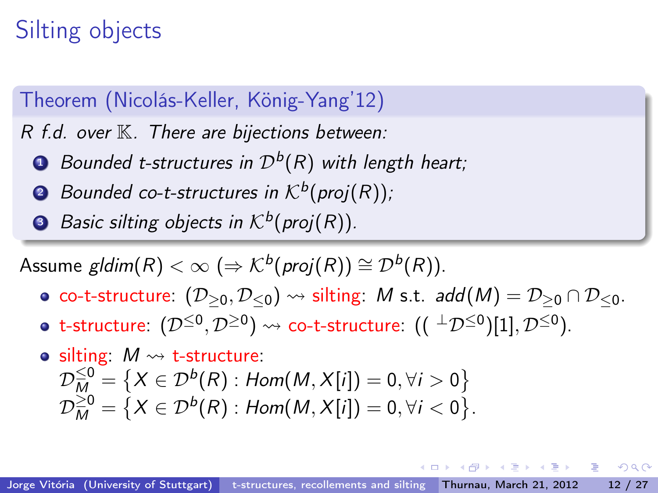#### Theorem (Nicolás-Keller, König-Yang'12)

 $R$  f.d. over  $K$ . There are bijections between:

- $\textbf{D}$  Bounded t-structures in  $\mathcal{D}^b(R)$  with length heart;
- $\bullet$  Bounded co-t-structures in  $\mathcal{K}^{b}( \textit{proj}(R))$  ;
- **3** Basic silting objects in  $\mathcal{K}^b(\mathsf{proj}(R)).$

Assume  $\textit{gldim}(R) < \infty \ (\Rightarrow \mathcal{K}^b(\textit{proj}(R)) \cong \mathcal{D}^b(R)).$ 

- co-t-structure:  $(D_{\geq 0}, D_{\leq 0}) \rightsquigarrow$  silting: M s.t. add(M) =  $D_{\geq 0} \cap D_{\leq 0}$ .
- t-structure:  $(\mathcal{D}^{\leq 0},\mathcal{D}^{\geq 0})\leadsto \text{\sf co-t-structure: }(({}^\perp\mathcal{D}^{\leq 0})[1],\mathcal{D}^{\leq 0}).$

$$
\begin{array}{ll}\n\bullet \text{ silting:} & M \rightsquigarrow \text{ t-structure:} \\
\mathcal{D}_{M}^{\leq 0} &= \{ X \in \mathcal{D}^{b}(R) : \text{Hom}(M, X[i]) = 0, \forall i > 0 \} \\
\mathcal{D}_{M}^{\geq 0} &= \{ X \in \mathcal{D}^{b}(R) : \text{Hom}(M, X[i]) = 0, \forall i < 0 \}\n\end{array}
$$

.

 $A \equiv \mathbf{1} \times \mathbf{1} \times \mathbf{1} \times \mathbf{1} \times \mathbf{1} \times \mathbf{1} \times \mathbf{1} \times \mathbf{1} \times \mathbf{1} \times \mathbf{1} \times \mathbf{1} \times \mathbf{1} \times \mathbf{1} \times \mathbf{1} \times \mathbf{1} \times \mathbf{1} \times \mathbf{1} \times \mathbf{1} \times \mathbf{1} \times \mathbf{1} \times \mathbf{1} \times \mathbf{1} \times \mathbf{1} \times \mathbf{1} \times \mathbf{1} \times \mathbf{1} \times \mathbf{1} \times \$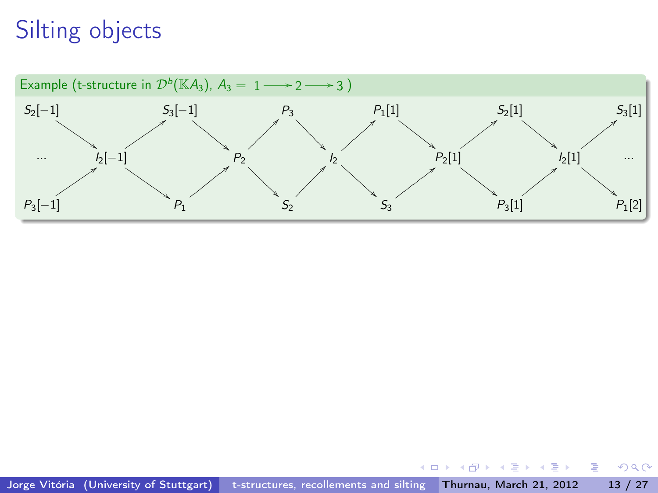

 $\mathcal{A}^{\pm}$ 

与  $\sim$ Þ

4 0 8

 $\mathbf{A} \rightarrow \mathbf{B}$ 

÷.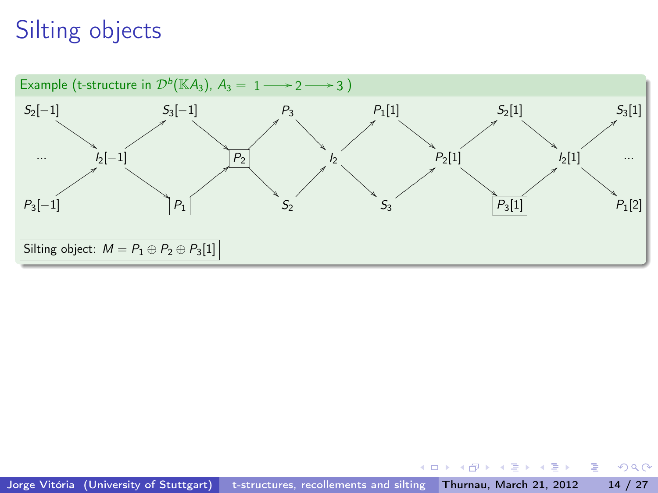

 $\mathcal{A} \cong \mathcal{B} \times \mathcal{A} \cong \mathcal{B}$ 

4 0 8

同  $\mathbf{p}$  ÷.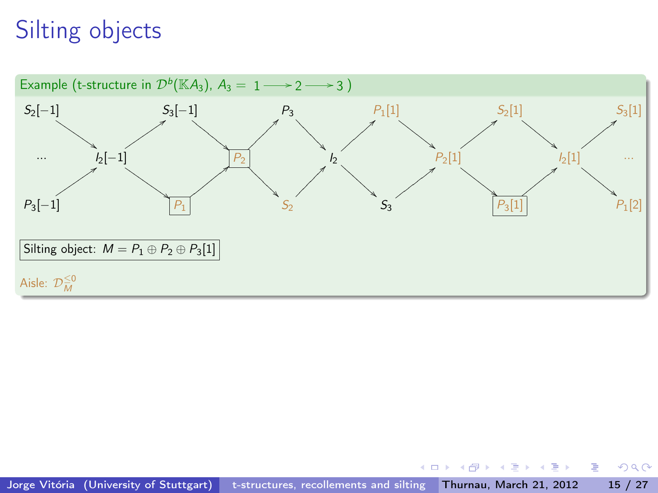

 $2980$ 

÷.

 $\mathcal{A} \cong \mathcal{B} \times \mathcal{A} \cong \mathcal{B}$ 

4 0 8

同→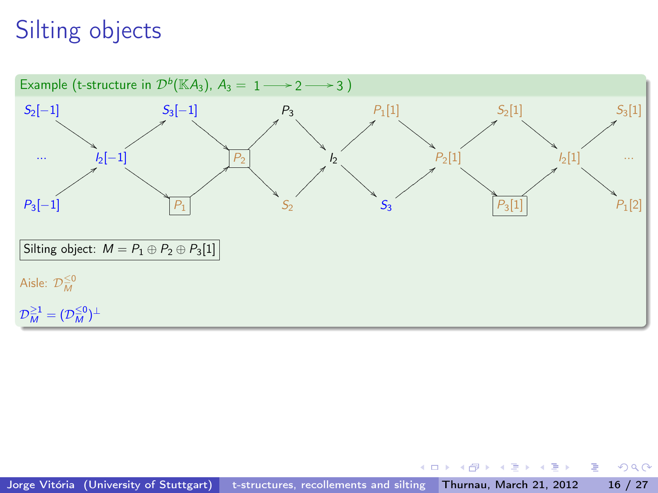

 $\overline{AB}$   $\rightarrow$   $\rightarrow$   $\overline{B}$   $\rightarrow$   $\rightarrow$   $\overline{B}$   $\rightarrow$ 

4 0 8

÷.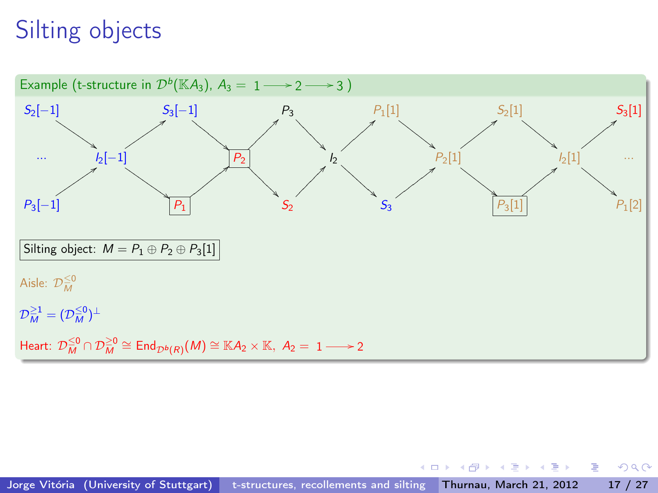

4 D F

*同* ト イヨ ト イヨ ト

 $299$ 

÷.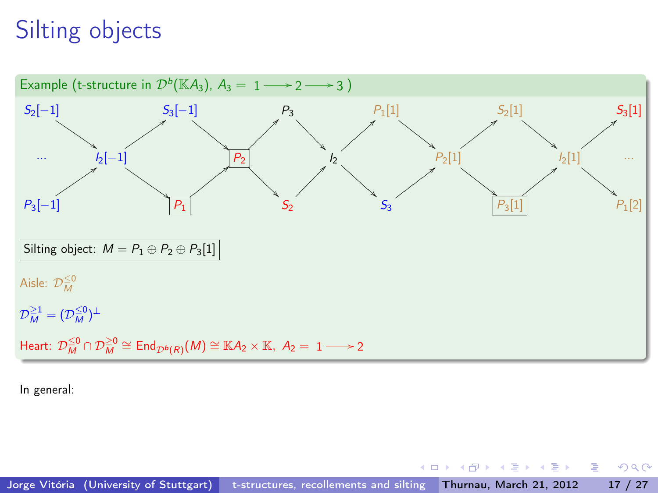

In general:

4 D F

*同* ト イヨ ト イヨ ト

 $QQ$ 

÷.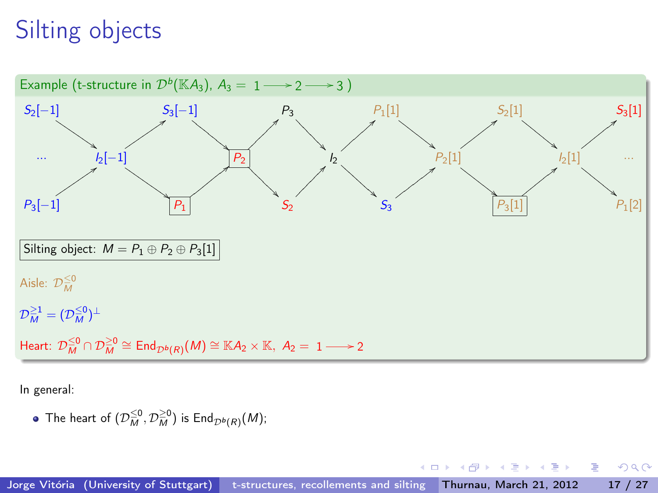

In general:

The heart of  $(\mathcal{D}_{\overline{M}}^{\leq 0},\mathcal{D}_{\overline{M}}^{\geq 0})$  is  $\mathsf{End}_{\mathcal{D}^b(\mathcal{R})}(M);$ 

 $\leftarrow$   $\Box$ 

化重复 化重变

 $QQ$ 

э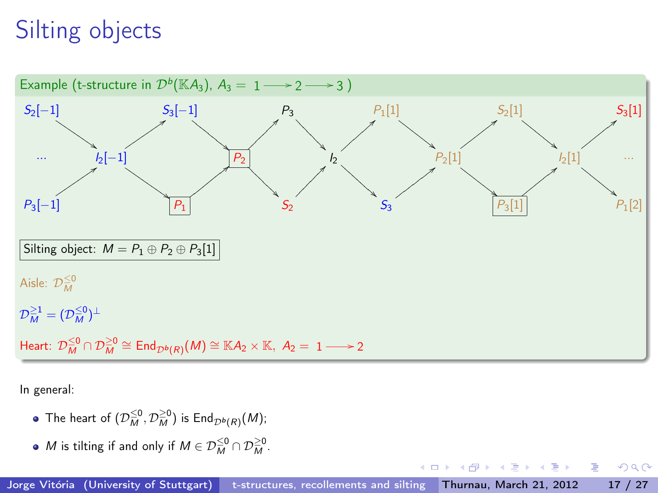

In general:

- The heart of  $(\mathcal{D}_{\overline{M}}^{\leq 0},\mathcal{D}_{\overline{M}}^{\geq 0})$  is  $\mathsf{End}_{\mathcal{D}^b(\mathcal{R})}(M);$
- M is tilting if and only if  $M \in \mathcal{D}_M^{\leq 0} \cap \mathcal{D}_M^{\geq 0}$ .

 $\leftarrow$   $\Box$ 

 $QQ$ 

э

医下环医下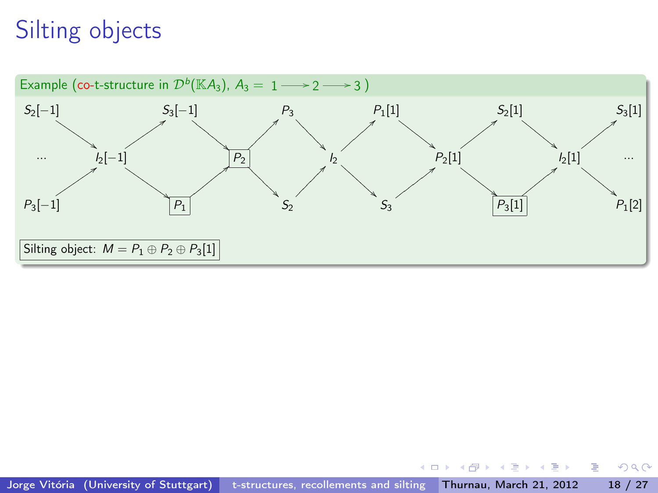

 $\mathcal{A} \xrightarrow{\sim} \mathcal{B} \xrightarrow{\sim} \mathcal{A} \xrightarrow{\sim} \mathcal{B} \xrightarrow{\sim}$ 

4 0 8

同  $\sim$   $2980$ 

÷.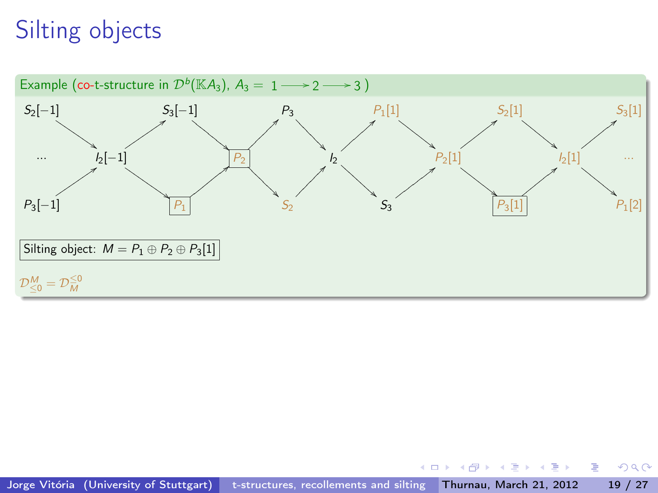

 $\overline{AB}$   $\rightarrow$   $\rightarrow$   $\overline{B}$   $\rightarrow$   $\rightarrow$   $\overline{B}$   $\rightarrow$ 

4 0 8

÷.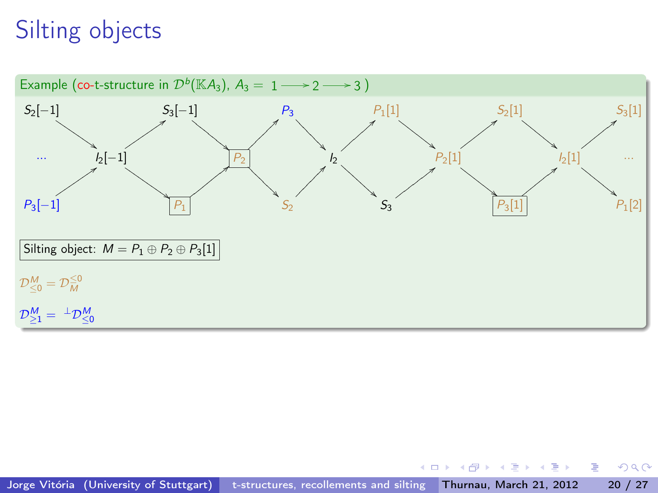

 $\overline{AB}$   $\rightarrow$   $\rightarrow$   $\overline{B}$   $\rightarrow$   $\rightarrow$   $\overline{B}$   $\rightarrow$ 

4 0 8

 $298$ 

G.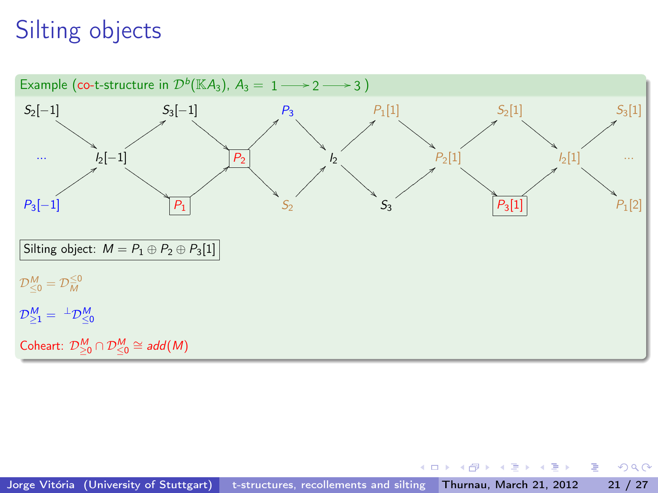

 $\overline{AB}$   $\rightarrow$   $\rightarrow$   $\overline{B}$   $\rightarrow$   $\rightarrow$   $\overline{B}$   $\rightarrow$ 

4 0 8

 $298$ 

÷.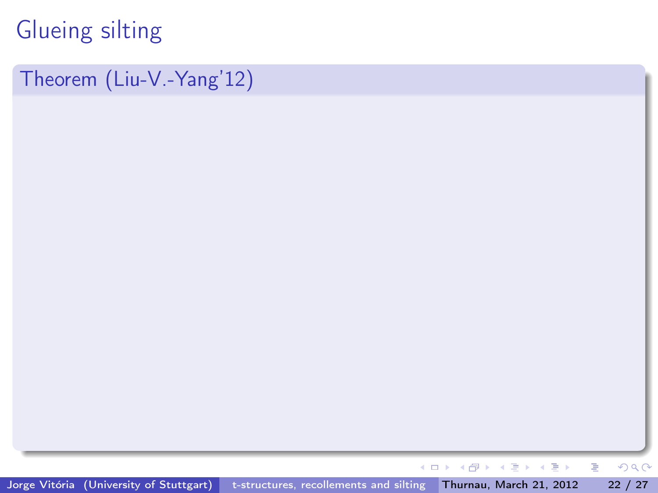Theorem (Liu-V.-Yang'12)

Jorge Vitória (University of Stuttgart) [t-structures, recollements and silting](#page-0-0) Thurnau, March 21, 2012 22 / 27

すぎわ すぎわ

重

 $299$ 

4日→

 $\leftarrow$   $\oplus$   $\rightarrow$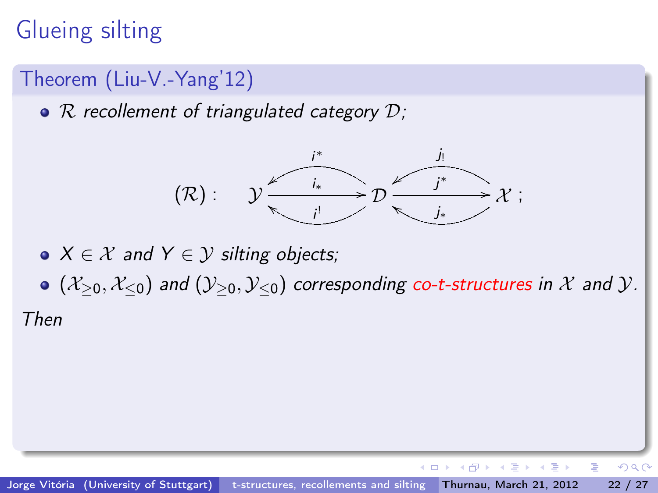### Theorem (Liu-V.-Yang'12)

 $\bullet$  R recollement of triangulated category  $\mathcal{D}$ ;



- $X \in \mathcal{X}$  and  $Y \in \mathcal{Y}$  silting objects;
- $\bullet$  ( $\mathcal{X}_{>0}, \mathcal{X}_{\leq 0}$ ) and  $(\mathcal{Y}_{>0}, \mathcal{Y}_{\leq 0})$  corresponding co-t-structures in X and Y.

Then

 $QQ$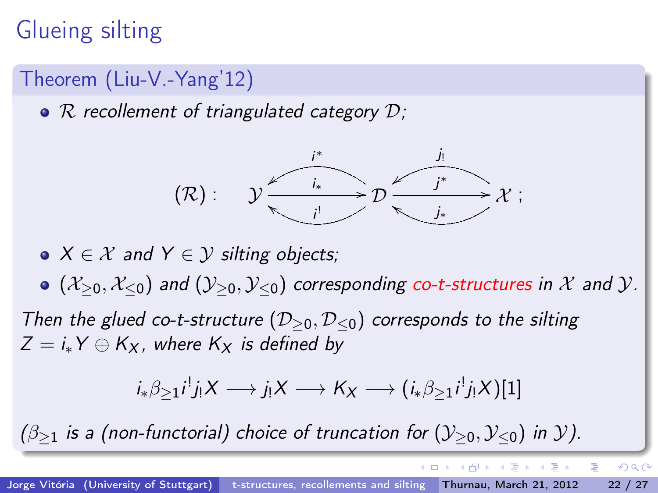### Theorem (Liu-V.-Yang'12)

•  $\mathcal R$  recollement of triangulated category  $\mathcal D$ ;



•  $X \in \mathcal{X}$  and  $Y \in \mathcal{Y}$  silting objects;

 $(1, 1)$  ( $(\mathcal{X}_{>0}, \mathcal{X}_{\leq 0})$  and  $(\mathcal{Y}_{>0}, \mathcal{Y}_{\leq 0})$  corresponding co-t-structures in X and Y.

Then the glued co-t-structure ( $\mathcal{D}_{\geq 0}, \mathcal{D}_{\leq 0}$ ) corresponds to the silting  $Z = i_*Y \oplus K_X$ , where  $K_X$  is defined by

$$
i_*\beta_{\geq 1}i^!j_!X\longrightarrow j_!X\longrightarrow K_X\longrightarrow (i_*\beta_{\geq 1}i^!j_!X)[1]
$$

 $(\beta_{\geq 1}$  is a (non-functorial) choice of truncation for  $(\mathcal{Y}_{\geq 0}, \mathcal{Y}_{\leq 0})$  in y).

 $QQ$ 

化重新润滑脂

 $\leftarrow$   $\Box$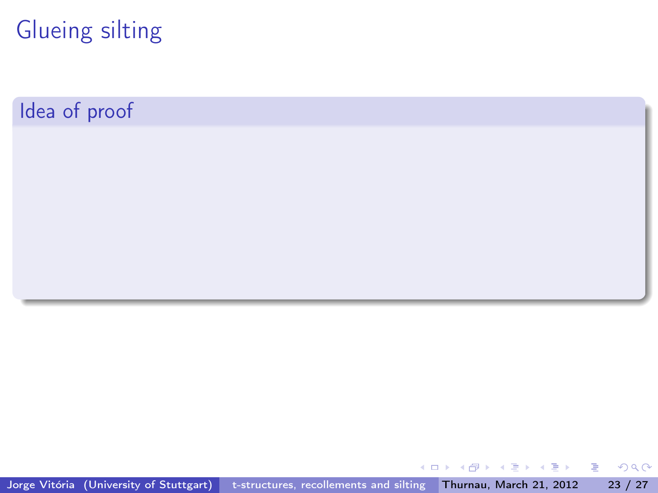Idea of proof

Jorge Vitória (University of Stuttgart) [t-structures, recollements and silting](#page-0-0) Thurnau, March 21, 2012 23 / 27

 $\sqrt{m}$  )  $\sqrt{m}$  )  $\sqrt{m}$  )

4 0 8

重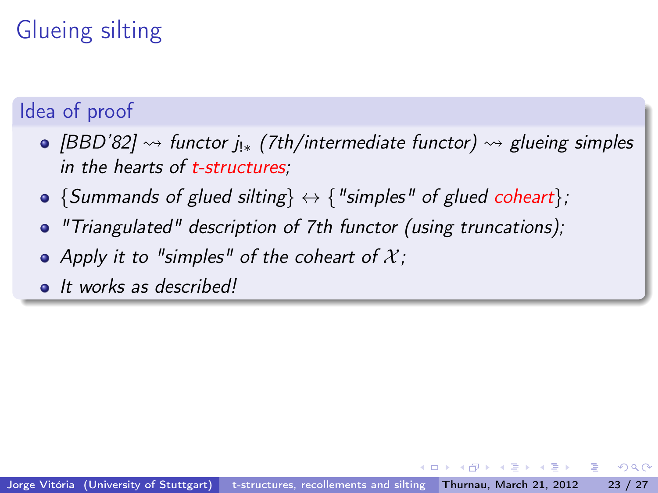### Idea of proof

- [BBD'82]  $\rightsquigarrow$  functor j<sub>!\*</sub> (7th/intermediate functor)  $\rightsquigarrow$  glueing simples in the hearts of t-structures;
- $\bullet$  {Summands of glued silting}  $\leftrightarrow$  { "simples" of glued coheart};
- "Triangulated" description of 7th functor (using truncations);
- Apply it to "simples" of the coheart of  $\mathcal{X}$ ;
- It works as described!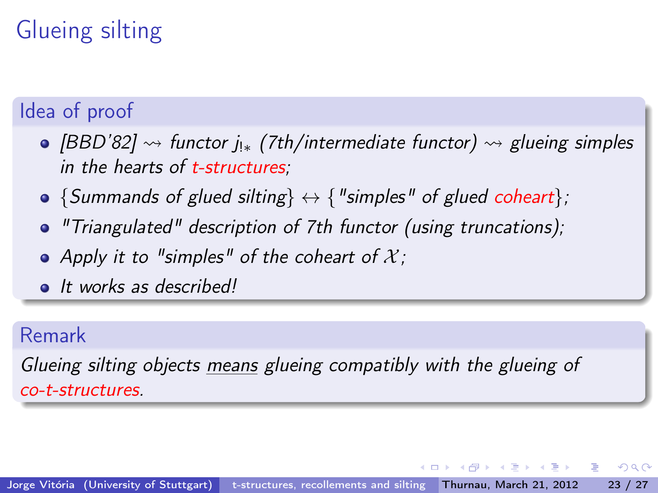### Idea of proof

- [BBD'82]  $\rightsquigarrow$  functor j<sub>!\*</sub> (7th/intermediate functor)  $\rightsquigarrow$  glueing simples in the hearts of t-structures;
- $\bullet$  {Summands of glued silting}  $\leftrightarrow$  { "simples" of glued coheart};
- "Triangulated" description of 7th functor (using truncations);
- Apply it to "simples" of the coheart of  $\mathcal{X}$ ;
- It works as described!

#### Remark

Glueing silting objects means glueing compatibly with the glueing of co-t-structures.

4 D F

**KENKEN B**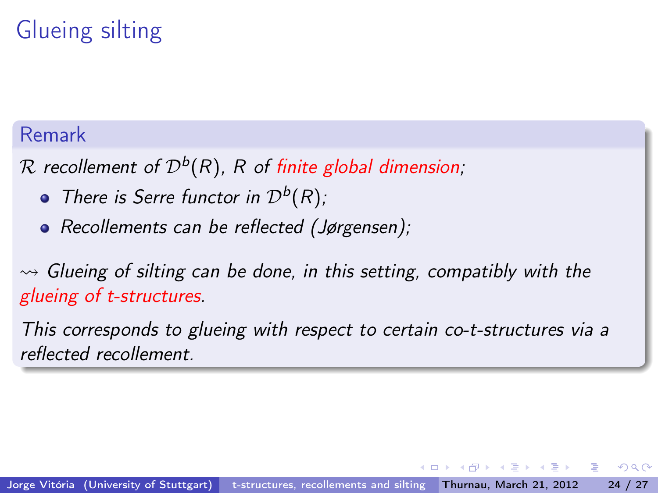#### Remark

 ${\mathcal R}$  recollement of  ${\mathcal D}^b({R}),\, R$  of finite global dimension;

- There is Serre functor in  $\mathcal{D}^{b}(R)$ ;
- Recollements can be reflected (Jørgensen);

 $\rightsquigarrow$  Glueing of silting can be done, in this setting, compatibly with the glueing of t-structures.

This corresponds to glueing with respect to certain co-t-structures via a reflected recollement.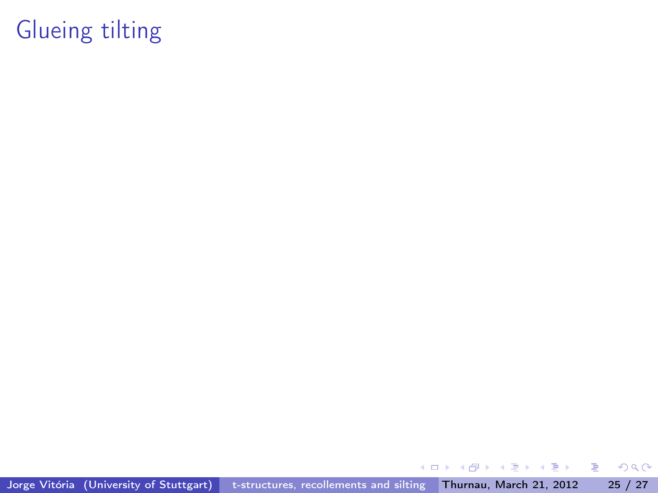Jorge Vitória (University of Stuttgart) [t-structures, recollements and silting](#page-0-0) Thurnau, March 21, 2012 25 / 27

 $\leftarrow$   $\leftarrow$   $\rightarrow$ 

 $\mathbf{d}$ 

4 0 8

 $\exists x \in A \exists y$ 

重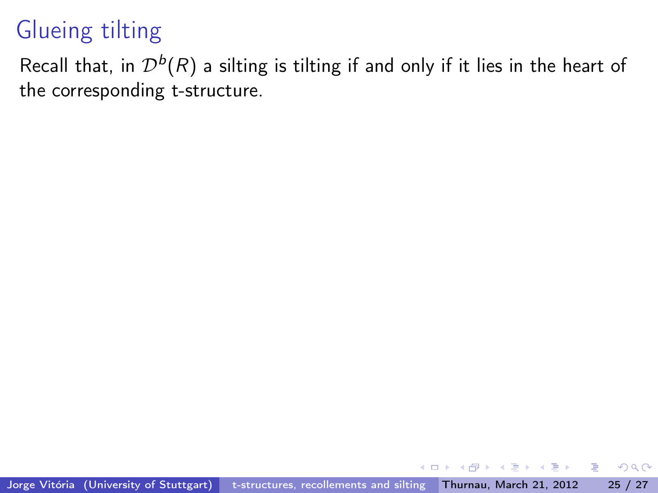Recall that, in  $\mathcal{D}^b(R)$  a silting is tilting if and only if it lies in the heart of the corresponding t-structure.

 $\rightarrow$   $\equiv$   $\rightarrow$ 

 $\Omega$ 

э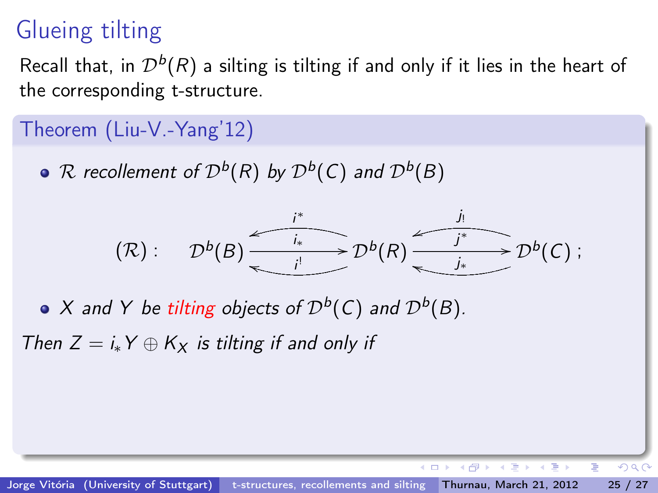Recall that, in  $\mathcal{D}^b(R)$  a silting is tilting if and only if it lies in the heart of the corresponding t-structure.

#### Theorem (Liu-V.-Yang'12)

 ${\mathcal R}$  recollement of  ${\mathcal D}^b({\mathcal R})$  by  ${\mathcal D}^b({\mathcal C})$  and  ${\mathcal D}^b(B)$ 



X and Y be tilting objects of  $\mathcal{D}^b(\mathcal{C})$  and  $\mathcal{D}^b(\mathcal{B})$ .

Then  $Z = i_*Y \oplus K_X$  is tilting if and only if

 $QQ$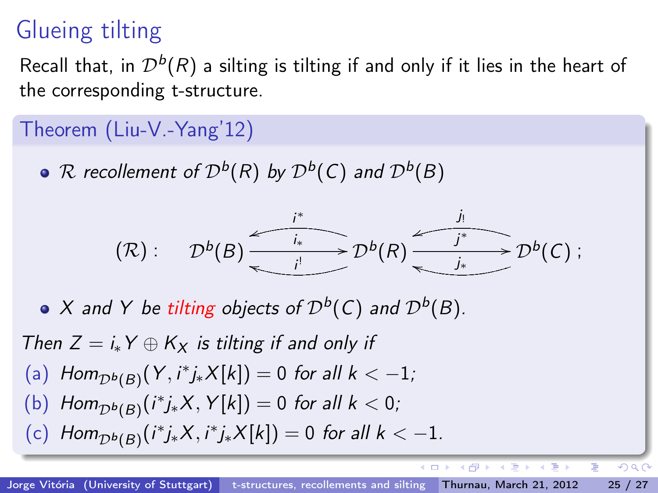Recall that, in  $\mathcal{D}^b(R)$  a silting is tilting if and only if it lies in the heart of the corresponding t-structure.

#### Theorem (Liu-V.-Yang'12)

 ${\mathcal R}$  recollement of  ${\mathcal D}^b({\mathcal R})$  by  ${\mathcal D}^b({\mathcal C})$  and  ${\mathcal D}^b(B)$ 



X and Y be tilting objects of  $\mathcal{D}^b(\mathcal{C})$  and  $\mathcal{D}^b(\mathcal{B})$ .

Then  $Z = i_*Y \oplus K_X$  is tilting if and only if (a)  $Hom_{\mathcal{D}^b(\mathcal{B})}(Y, i^*j_*X[k]) = 0$  for all  $k < -1$ ; (b)  $Hom_{\mathcal{D}^b(B)}(i^*j_*X, Y[k]) = 0$  for all  $k < 0$ ; (c)  $Hom_{\mathcal{D}^b(B)}(i^*j_*X, i^*j_*X[k]) = 0$  for all  $k < -1$ .

 $QQ$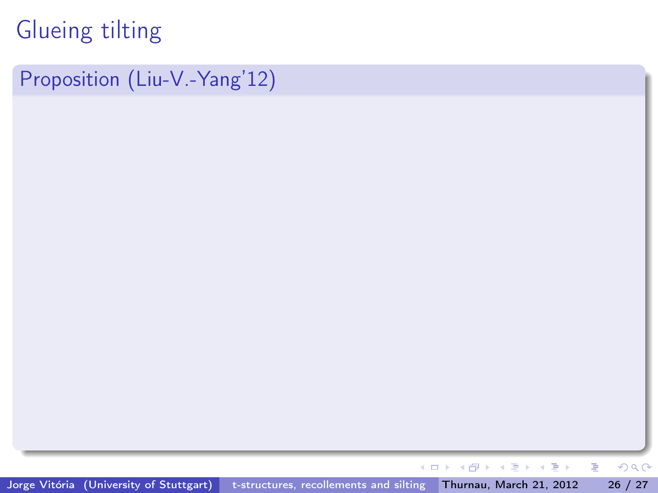Proposition (Liu-V.-Yang'12)

キロメ メ都 メメ きょうくぼう

重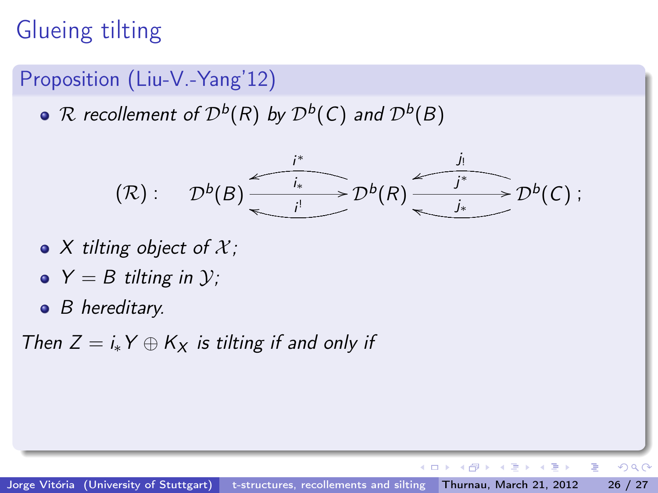#### Proposition (Liu-V.-Yang'12)

 ${\mathcal R}$  recollement of  ${\mathcal D}^b({\mathcal R})$  by  ${\mathcal D}^b({\mathcal C})$  and  ${\mathcal D}^b(B)$ 

$$
(\mathcal{R}): \mathcal{D}^b(B) \xrightarrow{i^*} \mathcal{D}^b(\mathcal{R}) \xrightarrow{j_i} \mathcal{D}^b(\mathcal{C}) :
$$

- $\bullet$  X tilting object of X;
- $\bullet$  Y = B tilting in y;
- $\bullet$  B hereditary.

Then  $Z = i_*Y \oplus K_X$  is tilting if and only if

 $A \equiv \mathbb{R} \cup A \equiv \mathbb{R}$ 

●▶

4 **D** F

 $QQQ$ 

÷.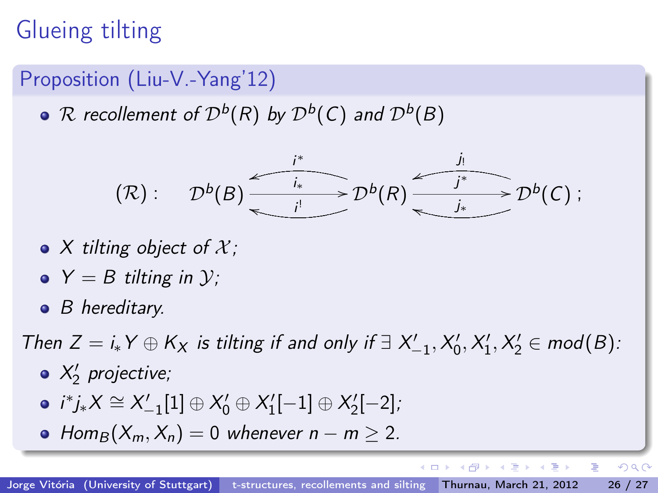#### Proposition (Liu-V.-Yang'12)

 ${\mathcal R}$  recollement of  ${\mathcal D}^b({\mathcal R})$  by  ${\mathcal D}^b({\mathcal C})$  and  ${\mathcal D}^b(B)$ 

$$
(\mathcal{R}): \mathcal{D}^b(B) \xrightarrow{i^*} \mathcal{D}^b(\mathcal{R}) \xrightarrow{j_i} \mathcal{D}^b(\mathcal{C}) :
$$

- $\bullet$  X tilting object of X;
- $\bullet Y = B$  tilting in  $\mathcal{V}$ :
- $\bullet$  B hereditary.

Then  $Z = i_* Y \oplus K_X$  is tilting if and only if  $\exists X'_{-1}, X'_0, X'_1, X'_2 \in \text{mod}(B)$ :

- $X'_2$  projective;
- $i^*j_*X \cong X'_{-1}[1] \oplus X'_0 \oplus X'_1[-1] \oplus X'_2[-2]$ ;
- Hom<sub>B</sub> $(X_m, X_n) = 0$  whenever  $n m > 2$ .

4 同下

4 **D** F

医毛囊 医牙骨下的

 $QQQ$ 

÷.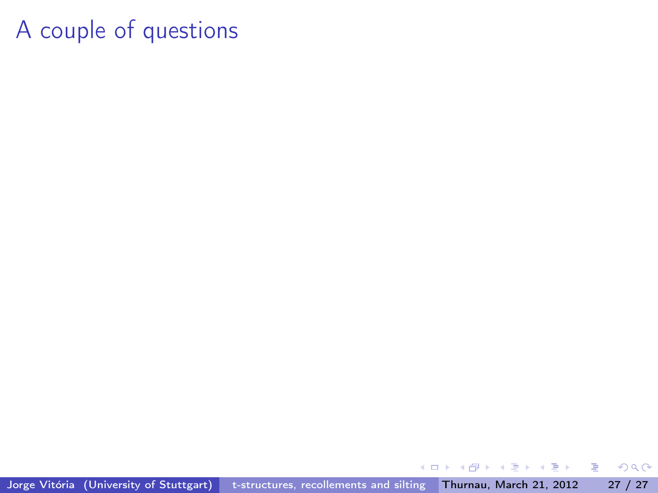Jorge Vitória (University of Stuttgart) [t-structures, recollements and silting](#page-0-0) Thurnau, March 21, 2012 27 / 27

 $\leftarrow$ 

同

**B** ×. ÷  $\mathbf{p}$  $-4$ 

 $\mathbb{R} \rightarrow$ 重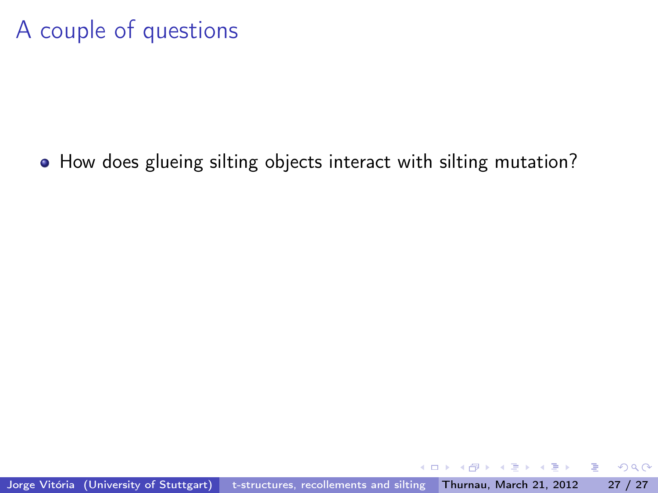How does glueing silting objects interact with silting mutation?

 $200$ 

э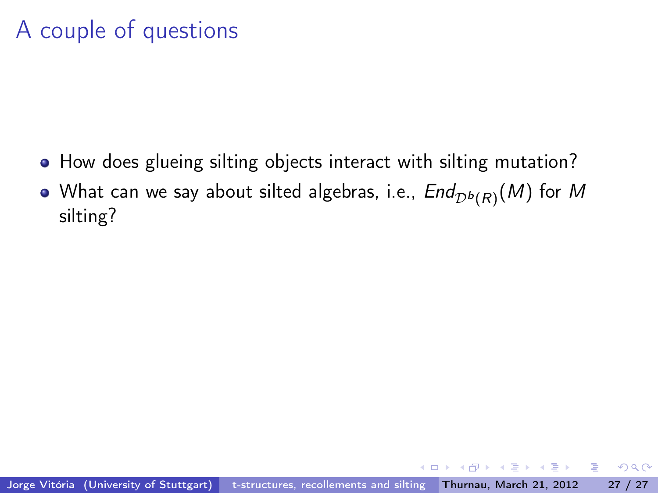- How does glueing silting objects interact with silting mutation?
- What can we say about silted algebras, i.e.,  $\mathit{End}_{\mathcal{D}^{b}(R)}(M)$  for  $M$ silting?